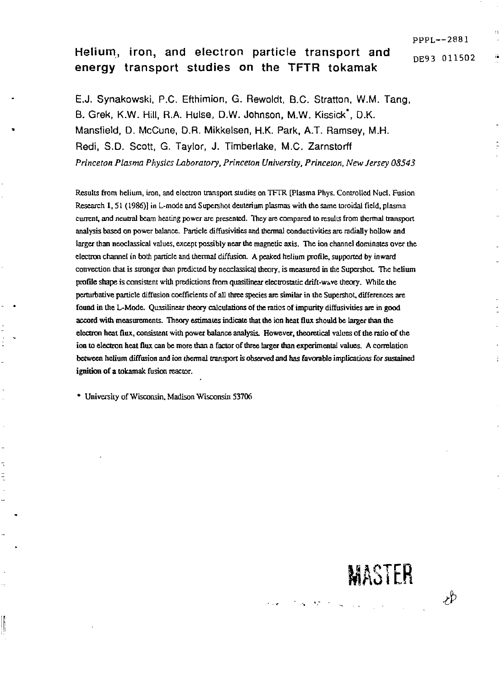PPPL—288 1 DE93 011502

**MASTER** 

**Contract Contract Contract** 

Ψþ

# Helium, iron, and electron particle transport and energy transport studies on the TFTR tokamak

E.J. Synakowski, P.C. Efthimion, G. Rewoldt, B.C. Stratton, W.M. Tang, B. Grek, K.W. Hill, R.A. Hulse, D.W. Johnson, M.W. Kissick\*, D.K. Mansfield, D. McCune, D.R. Mikkelsen, H.K. Park, A.T. Ramsey, M.H. Redi, S.D. Scott, G. Taylor, J. Timberlake, M.C. Zarnstorff *Princeton Plasma Physics Laboratory, Princeton University, Princeton, New Jersey 08543* 

Results from helium, iron, and electron transport studies on TFTR [Plasma Phys. Controlled Nucl. Fusion Research 1,51 (1986)] in L-mode and Supershot deuterium plasmas with the same toroidal field, plasma current, and neutral beam heating power are presented. They are compared to results from thermal transport analysis based on power balance. Particle diffusiviries and thermal conductivities are radially hollow and larger than neoclassical values, except possibly near the magnetic axis. The ion channel dominates over the electron channel in both panicle and thermal diffusion. A peaked helium profile, supported by inward convection that is stronger than predicted by neoclassical theory, is measured in the Supershot. The helium profile shape is consistent with predictions from quasilinear electrostatic drift-wave theory. While the pertuibative particle diffusion coefficients of all three species are similar in the Supershot, differences are found in the L-Mode. Quasilinear theory calculations of the ratios of impurity diffusivities are in good accord with measurements. Theory estimates indicate that the ion heat dux should be larger than the electron heat flux, consistent with power balance analysis. However, theoretical values of the ratio of the ion to electron heat flux can be more than a factor of three larger than experimental values. A correlation between helium diffusion and ion thermal transport is observed and has favorable implications for sustained ignition of a tokamak fusion reactor.

\* University of Wisconsin, Madison Wisconsin 53706

ľ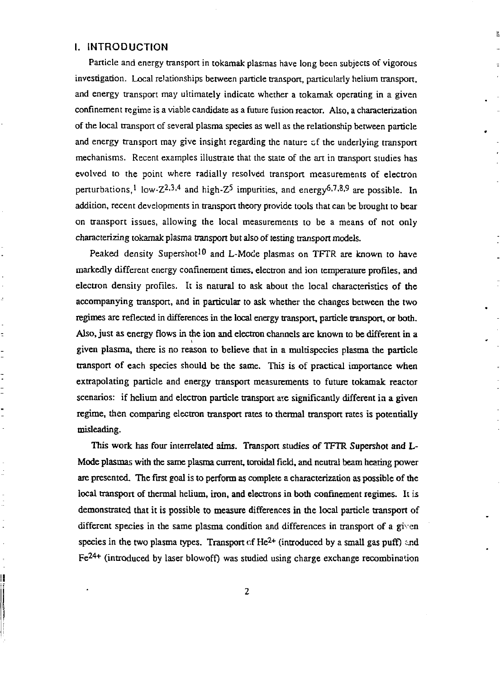## I. INTRODUCTION

ż

t  $\overline{a}$ 

 $\overline{\cdot}$  $\overline{a}$ 

 $\overline{\phantom{a}}$ i,

H

Particle and energy transport in tokamak plasmas have long been subjects of vigorous investigation. Local relationships between particle transport, particularly helium transport, and energy transport may ultimately indicate whether a tokamak operating in a given confinement regime is a viable candidate as a future fusion reactor. Also, a characterization of the local transport of several plasma species as well as the relationship between particle and energy transport may give insight regarding the nature cf the underlying transport mechanisms. Recent examples illustrate that the state of the art in transport studies has evolved to the point where radially resolved transport measurements of electron perturbations, low-Z<sup>2</sup>, <sup>3,4</sup> and high-Z<sup>3</sup> impurities, and energy<sup>6,7,8,9</sup> are possible. In addition, recent developments in transport theory provide tools that can be brought to bear on transport issues, allowing the local measurements to be a means of not only characterizing tokamak plasma transport but also of testing transport models.

 $\mathbf{k}$ 

Peaked density Supershot<sup>10</sup> and L-Mode plasmas on TFTR are known to have markedly different energy confinement times, electron and ion temperature profiles, and electron density profiles. It is natural to ask about the local characteristics of the accompanying transport, and in particular to ask whether the changes between the two regimes are reflected in differences in the local energy transport, particle transport, or both. Also, just as energy flows in the ion and electron channels are known to be different in a given plasma, mere is no reason to believe that in a multispecies plasma the particle transport of each species should be the same. This is of practical importance when extrapolating particle and energy transport measurements to future tokamak reactor scenarios: if helium and electron particle transport ate significantly different in a given regime, then comparing electron transport rates to thermal transport rates is potentially misleading.

This work has four interrelated aims. Transport studies of TFTR Supershot and L-Mode plasmas with the same plasma current, toroidal field, and neutral beam hearing power are presented. The first goal is to perform as complete a characterization as possible of the local transport of thermal helium, iron, and electrons in both confinement regimes. It is demonstrated that it is possible to measure differences in the local particle transport of different species in the same plasma condition and differences in transport of a given species in the two plasma types. Transport of He<sup>2+</sup> (introduced by a small gas puff) and Fe<sup>24+</sup> (introduced by laser blowoff) was studied using charge exchange recombination

**2**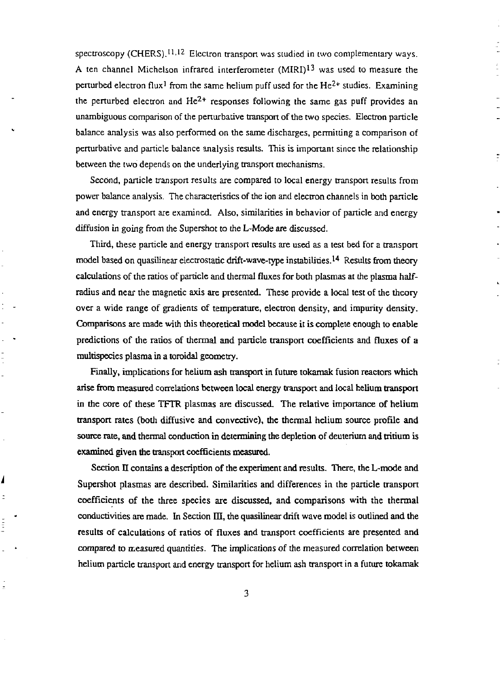spectroscopy (CHERS).<sup>11,12</sup> Electron transport was studied in two complementary ways. A ten channel Michelson infrared interferometer  $(MIRI)^{13}$  was used to measure the perturbed electron flux<sup>1</sup> from the same helium puff used for the  $He^{2+}$  studies. Examining the perturbed electron and  $He^{2+}$  responses following the same gas puff provides an unambiguous comparison of the perturbative transport of the two species. Electron particle balance analysis was also performed on die same discharges, permitting a comparison of perrurbative and particle balance analysis results. This is important since the relationship between the two depends on the underlying transport mechanisms.

Second, particle transport results are compared to local energy transport results from power balance analysis. The characteristics of the ion and electron channels in both panicle and energy transport are examined. Also, similarities in behavior of particle and energy diffusion in going from the Supershot to the L-Mode are discussed.

Third, these particle and energy transport results are used as a test bed for a transport model based on quasilinear electrostatic drift-wave-type instabilities.<sup>14</sup> Results from theory calculations of the ratios of particle and thermal fluxes for both plasmas at the plasma halfradius and near the magnetic axis are presented. These provide a local test of the theory over a wide range of gradients of temperature, electron density, and impurity density. Comparisons are made with this theoretical model because it is complete enough to enable predictions of die ratios of thermal and panicle transport coefficients and fluxes of a multispecies plasma in a toroidal geometry.

Finally, implications for helium ash transport in future tokamak fusion reactors which arise from measured correlations between local energy transport and local helium transport in the core of these TFTR plasmas are discussed. The relative importance of helium transport rates (both diffusive and convective), the thermal helium source profile and source rate, and thermal conduction in determining the depletion of deuterium and tritium is examined given the transport coefficients measured.

Section II contains a description of the experiment and results. There, the L-mode and Supershot plasmas are described. Similarities and differences in the panicle transport coefficients of the three species are discussed, and comparisons with the thermal conductivities are made. In Section  $III$ , the quasilinear drift wave model is outlined and the results of calculations of ratios of fluxes and transport coefficients are presented and compared to measured quantities. The implications of die measured correlation between helium particle transport and energy transport for helium ash transport in a future tokamak

I  $\ddot{z}$ 

 $\equiv$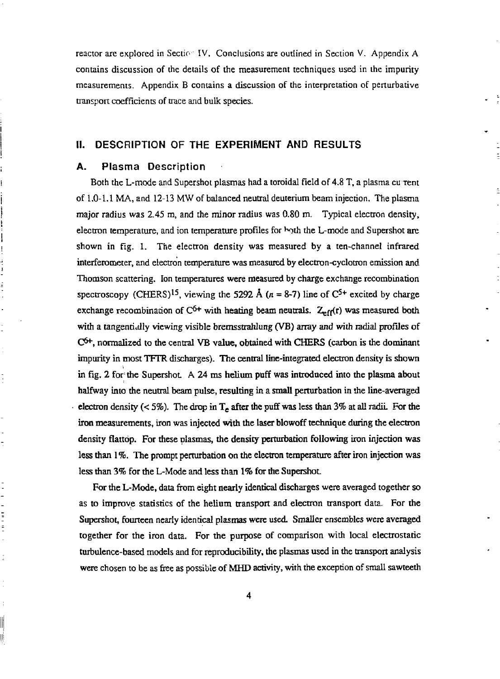reactor are explored in Section IV. Conclusions are outlined in Section V. Appendix A contains discussion of the details of the measurement techniques used in the impurity measurements. Appendix B contains a discussion of the interpretation of penurbative transport coefficients of trace and bulk species.

## II. DESCRIPTION OF THE EXPERIMENT AND RESULTS

#### A. Plasma Description

 $\frac{1}{2}$ 

t

 $\begin{array}{c} \mathbf{1} & \mathbf{1} & \mathbf{1} & \mathbf{1} \\ \mathbf{1} & \mathbf{1} & \mathbf{1} & \mathbf{1} \\ \mathbf{1} & \mathbf{1} & \mathbf{1} & \mathbf{1} \\ \mathbf{1} & \mathbf{1} & \mathbf{1} & \mathbf{1} \\ \mathbf{1} & \mathbf{1} & \mathbf{1} & \mathbf{1} \\ \mathbf{1} & \mathbf{1} & \mathbf{1} & \mathbf{1} \\ \mathbf{1} & \mathbf{1} & \mathbf{1} & \mathbf{1} \\ \mathbf{1} & \mathbf{1} & \mathbf$ 

İ

ĮĖ

Both the L-mode and Supershot plasmas had a toroidal field of 4.8 T, a plasma cu Tent of 1.0-1.1 MA, and 12-13 MW of balanced neutral deuterium beam injection. The plasma major radius was 2.45 m, and the minor radius was 0.80 m. Typical electron density, electron temperature, and ion temperature profiles for both the L-mode and Supershot are shown in fig. 1. The electron density was measured by a ten-channel infrared interferometer, and electron temperature was measured by electron-cyclotron emission and Thomson scattering. Ion temperatures were measured by charge exchange recombination spectroscopy (CHERS)<sup>15</sup>, viewing the 5292 A  $(n = 8-7)$  line of C<sup>5+</sup> excited by charge exchange recombination of  $C^{6+}$  with heating beam neutrals.  $Z_{eff}(r)$  was measured both with a tangentidlly viewing visible bremssttahlung (VB) array and with radial profiles of  $\mathbb{C}^{6+}$ , normalized to the central VB value, obtained with CHERS (carbon is the dominant impurity in most TFTR discharges). The central line-integrated electron density is shown in fig. 2 for the Supershot. A 24 ms helium puff was introduced into the plasma about halfway into die neutral beam pulse, resulting in a small perturbation in the line-averaged electron density (< 5%). The drop in  $T_e$  after the puff was less than 3% at all radii. For the iron measurements, iron was injected with the laser blowoff technique during the electron density flattop. For these plasmas, the density perturbation following iron injection was less than 1 *%.* The prompt perturbation on the electron temperature after iron injection was less than 3% for the L-Mode and less than 1% for the Supershot.

For the L-Mode, data from eight nearly identical discharges were averaged together so as to improve statistics of the helium transport and electron transport data. For the Supershot, fourteen nearly identical plasmas were used. Smaller ensembles were averaged together for the iron data. For the purpose of comparison with local electrostatic turbulence-based models and for reproducibility, the plasmas used in the transport analysis were chosen to be as free as possible of MHD activity, with the exception of small sawteeth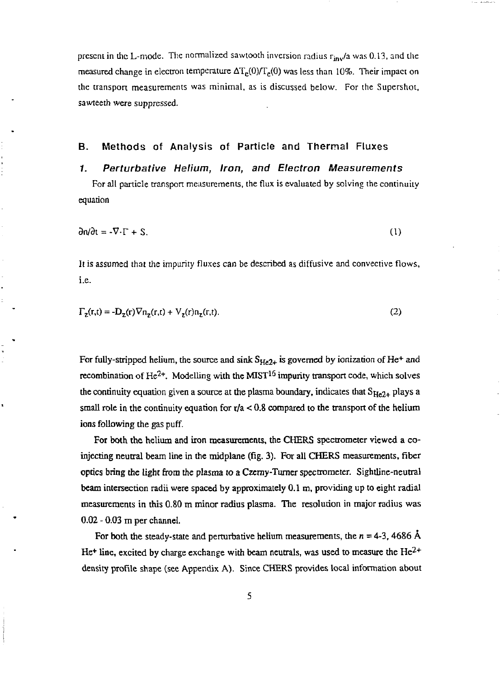present in the L-mode. The normalized sawtooth inversion radius  $r_{inv}/a$  was 0.13, and the measured change in electron temperature  $\Delta T_e(0)/T_e(0)$  was less than 10%. Their impact on the transpon measurements was minimal, as is discussed below. For the Supershot, sawteeth were suppressed.

## B. Methods of Analysis of Particle and Thermal Fluxes

#### *1. Perturbative Helium, Iron, and Electron Measurements*

For all particle transpon measurements, the flux is evaluated by solving the continuity equation

$$
\frac{\partial n}{\partial t} = -\nabla \cdot \Gamma + S. \tag{1}
$$

It is assumed that the impurity fluxes can be described as diffusive and convective flows, i.e.

$$
\Gamma_{\mathbf{z}}(\mathbf{r},t) = -\mathbf{D}_{\mathbf{z}}(\mathbf{r})\nabla \mathbf{n}_{\mathbf{z}}(\mathbf{r},t) + \mathbf{V}_{\mathbf{z}}(\mathbf{r})\mathbf{n}_{\mathbf{z}}(\mathbf{r},t).
$$
\n(2)

For fully-stripped helium, the source and sink  $S_{He2+}$  is governed by ionization of He<sup>+</sup> and recombination of He<sup>2+</sup>. Modelling with the MIST<sup>15</sup> impurity transport code, which solves the continuity equation given a source at the plasma boundary, indicates that  $S_{He2+}$  plays a small role in the continuity equation for  $r/a < 0.8$  compared to the transport of the helium ions following the gas puff.

For both the helium and iron measurements, the CHERS spectrometer viewed a coinjecting neutral beam line in the midplane (fig. 3). For all CHERS measurements, fiber optics bring the light from the plasma to a Czcmy-Tumer spectrometer. Sightline-neutral beam intersection radii were spaced by approximately 0.1 m, providing up to eight radial measurements in this 0.80 m minor radius plasma. The resolution in major radius was 0.02 - 0.03 m per channel.

For both the steady-state and perturbative helium measurements, the  $n = 4-3$ , 4686 Å He<sup>+</sup> line, excited by charge exchange with beam neutrals, was used to measure the He<sup>2+</sup> density profile shape (see Appendix A). Since CHERS provides local information about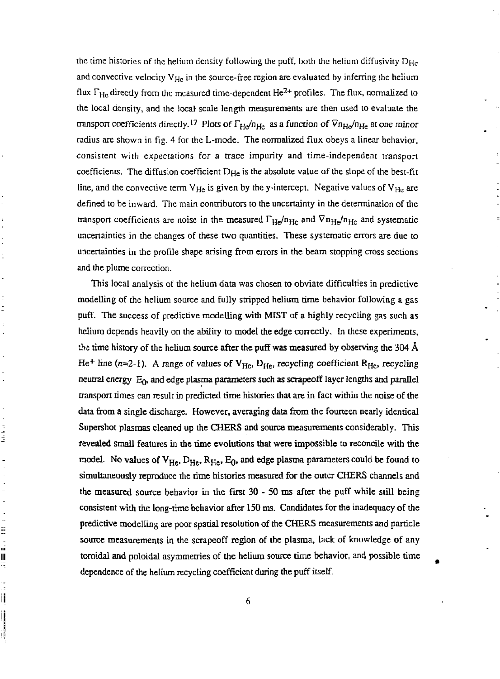the time histories of the helium density following the puff, both the helium diffusivity  $D_{\text{He}}$ and convective velocity  $V_{He}$  in the source-free region are evaluated by inferring the helium flux  $\Gamma_{\rm He}$  directly from the measured time-dependent He<sup>2+</sup> profiles. The flux, normalized to the local density, and the local- scale length measurements are then used to evaluate the transport coefficients directly.<sup>17</sup> Plots of  $\Gamma_{\rm He}/n_{\rm He}$  as a function of  $Vn_{\rm He}/n_{\rm He}$  at one minor radius are shown in fig. 4 for the L-mode. The normalized flux obeys a linear behavior, consistent with expectations for a trace impurity and time-independent transport coefficients. The diffusion coefficient  $D_{\text{He}}$  is the absolute value of the slope of the best-fit line, and the convective term  $V_{He}$  is given by the y-intercept. Negative values of  $V_{He}$  are defined to be inward. The main contributors to the uncertainty in the determination of the transport coefficients are noise in the measured  $\Gamma_{\text{He}}/n_{\text{He}}$  and  $Vn_{\text{He}}/n_{\text{He}}$  and systematic uncertainties in the changes of these two quantities. These systematic errors are due to uncertainties in the profile shape arising from errors in the beam stopping cross sections and the plume correction.

ċ

Ė

 $\frac{1}{2}$ 

三、前三、

 $\frac{1}{15}$ ij

÷,

This local analysis of the helium data was chosen to obviate difficulties in predictive modelling of the helium source and fully stripped helium time behavior following a gas puff. The success of predictive modelling with MIST of a highly recycling gas such as helium depends heavily on the ability to model the edge correctly. In these experiments, the time history of the helium source after the puff was measured by observing the 304  $\AA$ He<sup>+</sup> line (n=2-1). A range of values of V<sub>He</sub>, D<sub>He</sub>, recycling coefficient R<sub>He</sub>, recycling neutral energy  $E_0$ , and edge plasma parameters such as scrapeoff layer lengths and parallel transport times can result in predicted time histories that are in fact within the noise of the data from a single discharge. However, averaging data from the fourteen nearly identical Supershot plasmas cleaned up the CHERS and source measurements considerably. This revealed small features in the time evolutions that were impossible to reconcile with the model. No values of  $V_{He}$ ,  $D_{He}$ ,  $R_{He}$ ,  $E_0$ , and edge plasma parameters could be found to simultaneously reproduce the time histories measured for the outer CHERS channels and the measured source behavior in the first 30 - 50 ms after die puff while still being consistent with the long-time behavior after 150 ms. Candidates for the inadequacy of the predictive modelling are poor spatial resolution of the CHERS measurements and particle source measurements in the scrapeoff region of the plasma, lack of knowledge of any toroidal and poloidal asymmetries of the helium source time behavior, and possible time dependence of the helium recycling coefficient during the puff itself.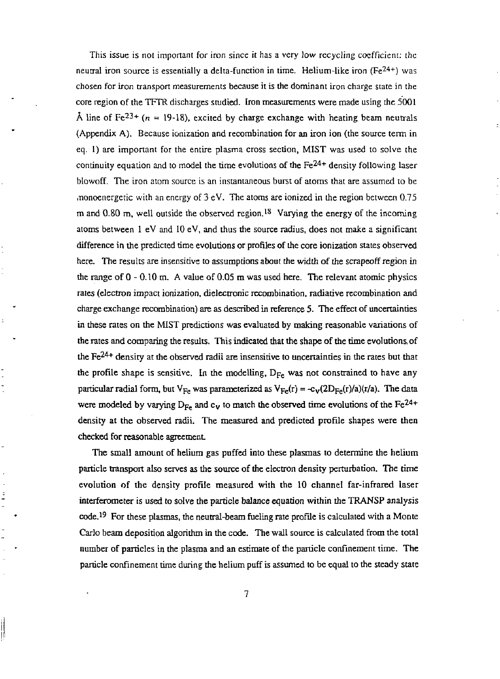This issue is not important for iron since it has a very low recycling coefficient: the neutral iron source is essentially a delta-function in time. Helium-like iron (Fe<sup>24+</sup>) was chosen for iron transport measurements because it is the dominant iron charge state in the core region of the TFTR discharges studied. Iron measurements were made using the 5001 A line of Fe<sup>23+</sup> ( $n = 19-18$ ), excited by charge exchange with heating beam neutrals (Appendix A). Because ionization and recombination for an iron ion (the source term in eq. 1) are important for the entire plasma cross section, MIST was used to solve the continuity equation and to model the time evolutions of the  $Fe<sup>24+</sup>$  density following laser blowoff. The iron atom source is an instantaneous burst of atoms that are assumed to be monoenergetic with an energy of  $3 \text{ eV}$ . The atoms are ionized in the region between 0.75 m and 0.80 m, well outside the observed region.<sup>18</sup> Varying the energy of the incoming atoms between 1 eV and 10 eV, and thus the source radius, does not make a significant difference in the predicted time evolutions or profiles of the core ionization states observed here. The results are insensitive to assumptions about the width of the scrapeoff region in the range of 0 - 0.10 m. A value of 0.05 m was used here. The relevant atomic physics rates (electron impact ionization, dielectronic recombination, radiative recombination and charge exchange recombination) are as described in reference 5. The effect of uncertainties in these rates on the MIST predictions was evaluated by making reasonable variations of the rates and comparing the results. This indicated that the shape of the time evolutions, of the  $Fe^{24+}$  density at the observed radii are insensitive to uncertainties in the rates but that the profile shape is sensitive. In the modelling, Dp<sup>e</sup> was not constrained to have any particular radial form, but  $V_{\text{F}}$  was parameterized as  $V_{\text{F}}(r) = c_2 \left(2D_{\text{F}}(r) / a/(r/a)\right)$ . The data were modeled by varying  $D_{\text{p}}$  and c v to match the observed time evolutions of the  $Fe^{24+}$ density at the observed radii. The measured and predicted profile shapes were then checked for reasonable agreement.

ċ

The small amount of helium gas puffed into these plasmas to determine the helium particle transport also serves as the source of the electron density perturbation. The time evolution of the density profile measured with the 10 channel far-infrared laser interferometer is used to solve the particle balance equation within the TRANSP analysis code.<sup>19</sup> For these plasmas, the neutral-beam fueling rate profile is calculated with a Monte Carlo beam deposition algorithm in the code. The wall source is calculated from the total number of panicles in the plasma and an estimate of the particle confinement time. The particle confinement time during the helium puff is assumed to be equal to the steady state

||<br>||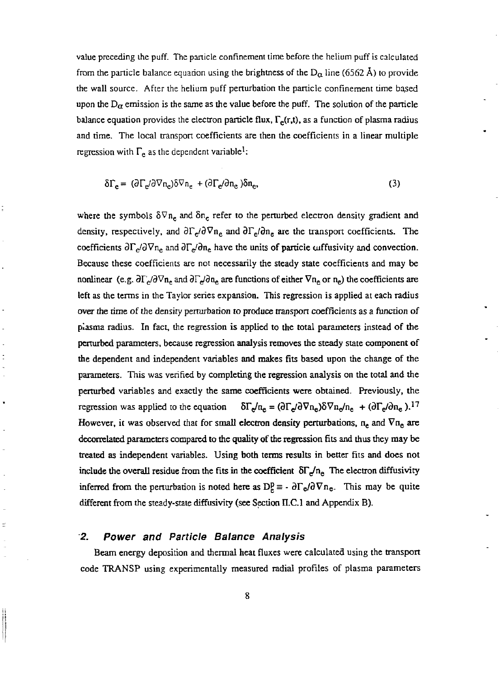value preceding the puff. The panicle confinement time before the helium puff is calculated from the particle balance equation using the brightness of the D<sub> $\alpha$ </sub> line (6562 Å) to provide the wall source. After the helium puff perturbation the particle confinement time based upon the  $D_{\alpha}$  ernission is the same as the value before the puff. The solution of the particle balance equation provides the electron particle flux,  $\Gamma_e(r,t)$ , as a function of plasma radius and time. The local transport coefficients are then the coefficients in a linear multiple regression with  $\Gamma_e$  as the dependent variable<sup>1</sup>:

δΓ<sub>e</sub>= (∂Γ<sub>e</sub>/∂∇π<sub>e</sub>)δ∇π<sub>e</sub> +(∂Γ<sub>e</sub>/∂π<sub>e</sub>)δπ<sub>e</sub> ,  $(3)$ 

where the symbols  $\delta \nabla n_e$  and  $\delta n_e$  refer to the perturbed electron density gradient and density, respectively, and  $\partial \Gamma_e / \partial \nabla n_e$  and  $\partial \Gamma_e / \partial n_e$  are the transport coefficients. The coefficients  $\partial\Gamma_e/\partial\nabla n_e$  and  $\partial\Gamma_e/\partial n_e$  have the units of particle cuffusivity and convection. Because these coefficients are not necessarily the steady state coefficients and may be nonlinear (e.g.  $\frac{\partial \Gamma_e}{\partial \nabla n_e}$  and  $\frac{\partial \Gamma_e}{\partial n_e}$  are functions of either  $\nabla n_e$  or  $n_e$ ) the coefficients are left as the terms in the Taylor series expansion. This regression is applied at each radius over the time of the density perturbation to produce transport coefficients as a function of plasma radius. In fact, the regression is applied to the total parameters instead of the perturbed parameters, because regression analysis removes the steady state component of the dependent and independent variables and makes fits based upon the change of the parameters. This was verified by completing the regression analysis on the total and the perturbed variables and exacdy the same coefficients were obtained. Previously, the regression was applied to the equation  $\mathbf{S}_s = (\partial \Gamma_e / \partial \nabla \mathbf{n_e}) \delta \nabla \mathbf{n_e} / \mathbf{n_e} + (\partial \Gamma_e / \partial \mathbf{n_e}).$ <sup>17</sup> However, it was observed that for small electron density perturbations,  $n_e$  and  $\nabla n_e$  are decorrelated parameters compared to the quality of the regression fits and thus they may be treated as independent variables. Using both terms results in better fits and does not include the overall residue from the fits in the coefficient  $\delta\Gamma_c/n_e$  The electron diffusivity inferred from the perturbation is noted here as  $D_p^p = -\frac{\partial \Gamma_e}{\partial \nabla n_e}$ . This may be quite different from the steady-state diffusivity (see Section I1.C.1 and Appendix B).

#### **2.** *Power and Particle Balance Analysis*

l,

Ė

Beam energy deposition and thermal heat fluxes were calculated using the transport code TRANSP using experimentally measured radial profiles of plasma parameters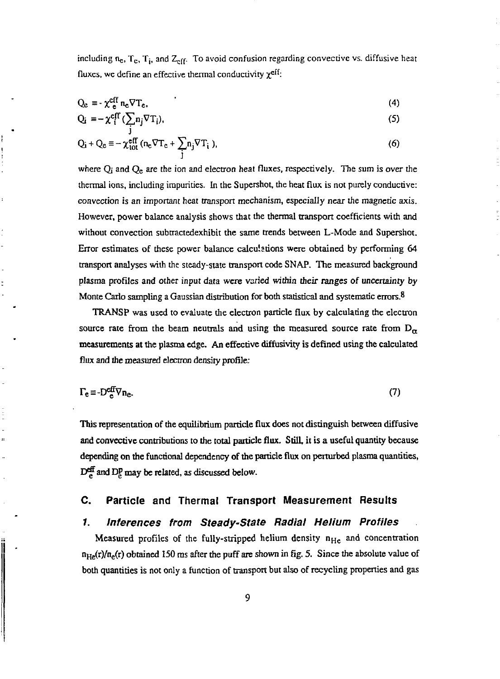including n<sub>e</sub>, T<sub>c</sub>, T<sub>i</sub>, and Z<sub>eff</sub>. To avoid confusion regarding convective vs. diffusive heat fluxes, we define an effective thermal conductivity *x e ^'-*

$$
Q_e = -\chi_e^{eff} n_e \nabla T_e, \tag{4}
$$

$$
Q_i = -\chi_i^{eff} (\sum_i n_j \nabla T_i), \tag{5}
$$

$$
Q_i + Q_e \equiv -\chi_{tot}^{eff} (n_e \nabla T_e + \sum_j n_j \nabla T_i), \tag{6}
$$

where  $Q_i$  and  $Q_e$  are the ion and electron heat fluxes, respectively. The sum is over the thermal ions, including impurities. In the Supershot, the heat flux is not purely conductive: convection is an important heat transport mechanism, especially near the magnetic axis. However, power balance analysis shows that the thermal transport coefficients with and without convection subtractedexhibit the same trends between L-Mode and Supershot. Error estimates of these power balance calculations were obtained by performing 64 transport analyses with the steady-state transport code SNAP. The measured background plasma profiles and other input data were varied within their ranges of uncertainty by Monte Carlo sampling a Gaussian distribution for both statistical and systematic errors.<sup>8</sup>

TRANSP was used to evaluate the electron particle flux by calculating the electron source rate from the beam neutrals and using the measured source rate from  $D_{\alpha}$ measurements at the plasma edge. An effective diffusivity is defined using the calculated flux and the measured electron density profile:

$$
\Gamma_e \equiv -D_e^{\text{eff}} \nabla n_e. \tag{7}
$$

This representation of the equilibrium particle flux does not distinguish between diffusive and convective contributions to the total particle flux. Still, it is a useful quantity because depending on the functional dependency of the particle flux on perturbed plasma quantities,  $D^{\text{eff}}_{\rho}$  and  $D^{\text{p}}_{\rho}$  may be related, as discussed below.

#### **C. Particle and Thermal Transport Measurement Results**

#### **/.** *Inferences from Steady-State Radial Helium Profiles*

Measured profiles of the fully-stripped helium density  $n_{He}$  and concentration  $n_{He}(r)/n_e(r)$  obtained 150 ms after the puff are shown in fig. 5. Since the absolute value of both quantities is not only a function of transport but also of recycling properties and gas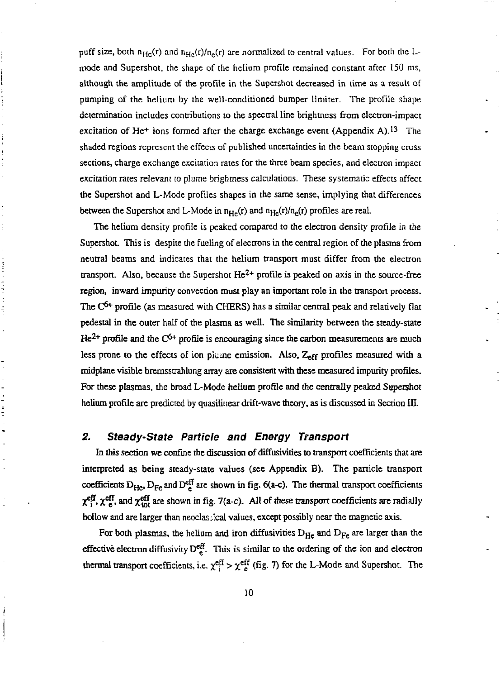puff size, both  $n_{\text{He}}(r)$  and  $n_{\text{He}}(r)/n_{\text{e}}(r)$  are normalized to central values. For both the Lrnode and Supershot, the shape of the helium profile remained constant after 150 ms, although the amplitude of the profile in the Supershot decreased in time as a result of pumping of the helium by the well-conditioned bumper limiter. The profile shape determination includes contributions to the spectral line brightness from electron-impact excitation of He<sup>+</sup> ions formed after the charge exchange event (Appendix A).<sup>13</sup> The shaded regions represent the effects of published uncertainties in the beam stopping cross sections, charge exchange excitation rates for the three beam species, and electron impact excitation rates relevant to plume brightness calculations. These systematic effects affect the Supershot and L-Mode profiles shapes in the same sense, implying that differences between the Supershot and L-Mode in  $n_{He}(r)$  and  $n_{He}(r)/n_{e}(r)$  profiles are real.

The helium density profile is peaked compared to the electron density profile in the Supershot. This is despite the fueling of electrons in the central region of the plasma from neutral beams and indicates that the helium transport must differ from the electron transport. Also, because the Supershot  $He^{2+}$  profile is peaked on axis in the source-free region, inward impurity convection must play an important role in the transport process. The  $C<sup>6+</sup>$  profile (as measured with CHERS) has a similar central peak and relatively flat pedestal in the outer half of the plasma as well. The similarity between the steady-state  $He^{2+}$  profile and the C<sup>6+</sup> profile is encouraging since the carbon measurements are much less prone to the effects of ion plume emission. Also, Zeff profiles measured with a tnidplane visible bremsstrahlung array are consistent with these measured impurity profiles. For these plasmas, the broad L-Mode helium profile and the centrally peaked Supershot helium profile are predicted by quasilinear drift-wave theory, as is discussed in Section III.

### *2. Steady-State Particle and Energy Transport*

こうきょう こうせき

In this section we confine the discussion of diffusivities to transport coefficients that are interpreted as being steady-state values (see Appendix B). The panicle transport coefficients  $D_{He}$ ,  $D_{Fe}$  and  $D_{e} ^{eff}$  are shown in fig. 6(a-c). The thermal transport coefficients  $\chi^{\text{eff}}_{\text{A}}$ , and  $\chi^{\text{eff}}_{\text{tot}}$  are shown in fig. 7(a-c). All of these transport coefficients are radially hollow and are larger than neoclassical values, except possibly near the magnetic axis.

For both plasmas, the helium and iron diffusivities  $D_{He}$  and  $D_{Fe}$  are larger than the effective electron diffusivity  $D_{\mu}^{\text{eff}}$ . This is similar to the ordering of the ion and electron thermal transport coefficients, i.e.  $\chi_{\text{eff}}^{\text{eff}} > \chi_{\text{eff}}^{\text{eff}}$  (fig. 7) for the L-Mode and Supershot. The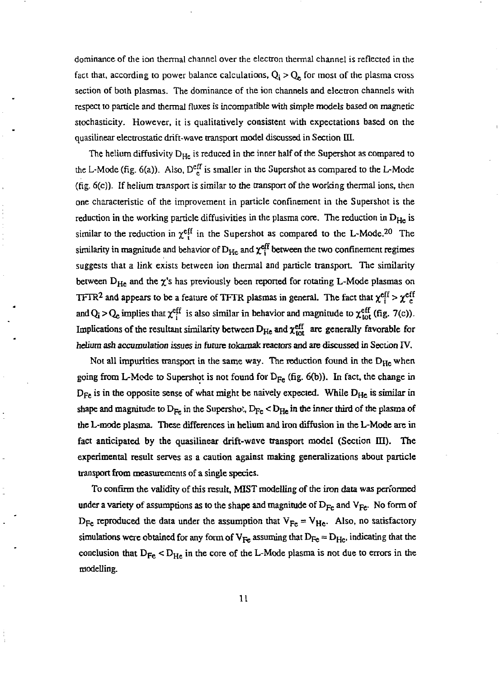dominance of die ion thermal channel over the electron thermal channel is reflected in the fact that, according to power balance calculations,  $Q_i > Q_e$  for most of the plasma cross section of both plasmas. The dominance of the ion channels and electron channels with respect to particle and thermal fluxes is incompatible with simple models based on magnetic stochasticity. However, it is qualitatively consistent with expectations based on the quasilinear electrostatic drift-wave transport model discussed in Section III.

The helium diffusivity  $D_{He}$  is reduced in the inner half of the Supershot as compared to the L-Mode (fig. 6(a)). Also,  $D_{\epsilon}^{\text{eff}}$  is smaller in the Supershot as compared to the L-Mode (fig. 6(c)). If helium transport is similar to the transport of the working thermal ions, then one characteristic of the improvement in particle confinement in the Supershot is the reduction in the working particle diffusivities in the plasma core. The reduction in  $D_{H_{\rm e}}$  is similar to the reduction in  $\gamma^{\text{eff}}$  in the Supershot as compared to the L-Mode.<sup>20</sup> The similarity in magnitude and behavior of  $D_{\text{tr}_n}$  and  $\gamma^{\text{eff}}$  between the two confinement regimes suggests that a link exists between ion thermal and particle transport. The similarity between  $D_{\text{H}_n}$  and the  $\gamma$ 's has previously been reported for rotating L-Mode plasmas on TFTR<sup>2</sup> and appears to be a feature of TFTR plasmas in general. The fact that  $y^{eff} > y^{eff}$ and Q; > Q<sub>e</sub> implies that  $\chi^{\text{eff}}_i$  is also similar in behavior and magnitude to  $\chi^{\text{eff}}_{\text{tot}}$  (fig. 7(c)). Implications of the resultant similarity between  $D_{\text{tr}}$  and  $\gamma^{\text{eff}}$  are generally favorable for helium ash accumulation issues in future tokamak reactors and are discussed in Section IV.

Not all impurities transport in the same way. The reduction found in the  $D_{He}$  when going from L-Mode to Supershot is not found for  $D_{Fe}$  (fig. 6(b)). In fact, the change in  $D_{Fe}$  is in the opposite sense of what might be naively expected. While  $D_{He}$  is similar in shape and magnitude to  $D_{\text{Fe}}$  in the Supershoi,  $D_{\text{Fe}} < D_{\text{He}}$  in the inner third of the plasma of the L-mode plasma. These differences in helium and iron diffusion in the L-Modc are in fact anticipated by the quasilinear drift-wave transport model (Section III). The experimental result serves as a caution against making generalizations about particle transport from measurements of a single species.

To confirm the validity of this result, MIST modelling of the iron data was performed under a variety of assumptions as to the shape and magnitude of  $D_{Fe}$  and  $V_{Fe}$ . No form of  $D_{\text{Fe}}$  reproduced the data under the assumption that  $V_{\text{Fe}} = V_{\text{He}}$ . Also, no satisfactory simulations were obtained for any form of  $V_{Fe}$  assuming that  $D_{Fe} = D_{He}$ , indicating that the conclusion that  $D_{F_e} < D_{H_e}$  in the core of the L-Mode plasma is not due to errors in the modelling.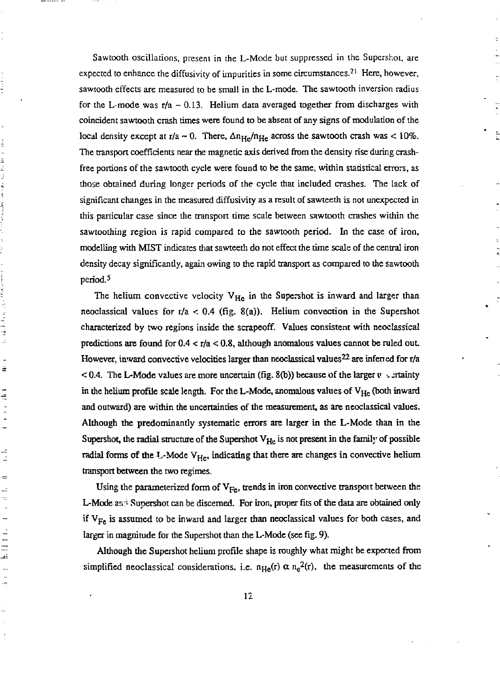Sawtooth oscillations, present in the L-Mode but suppressed in the Supershot, are expected to enhance the diffusivity of impurities in some circumstances.<sup>21</sup> Here, however, sawtooth effects are measured to be small in the L-mode. The sawtooth inversion radius for the L-mode was  $r/a \sim 0.13$ . Helium data averaged together from discharges with coincident sawtooth crash times were found to be absent of any signs of modulation of the local density except at r/a  $\sim$  0. There,  $\Delta n_{He}/n_{He}$  across the sawtooth crash was < 10%. The transport coefficients near the magnetic axis derived from the density rise during crashfree portions of the sawtooth cycle were found to be the same, within statistical errors, as those obtained during longer periods of the cycle that included crashes. The lack of significant changes in the measured diffusivity as a result of sawteeth is not unexpected in this particular case since the transport rime scale between sawtooth crashes within the sawtoothing region is rapid compared to die sawtoodi period. In the case of iron, modelling with MIST indicates that sawteeth do not effect the time scale of die central iron density decay significantly, again owing to the rapid transport as compared to die sawtoodi period.<sup>5</sup>

i<br>i

in the state of the state of the state of the state of the state of the state of the state of the state of the state of the state of the state of the state of the state of the state of the state of the state of the state o

ť

ē

÷

 $\overline{a}$ 

 $\equiv$  $\ddot{a}$  $\equiv$ 

 $\equiv$ 

i<br>Linki<br>Linki

 $\ddot{\phantom{a}}$  $\mathbf{a}$ 

The helium convective velocity  $V_{H_0}$  in the Supershot is inward and larger than neoclassical values for  $r/a < 0.4$  (fig. 8(a)). Helium convection in the Supershot characterized by two regions inside die scrapeoff. Values consistent widi neoclassical predictions are found for  $0.4 < r/a < 0.8$ , although anomalous values cannot be ruled out. However, inward convective velocities larger than neoclassical values  $22$  are inferred for r/a < 0.4. The L-Mode values are more uncertain (fig. 8(b)) because of die larger *v* v jrtainty in the helium profile scale length. For the L-Mode, anomalous values of  $V_{He}$  (both inward and outward) are within die uncertainties of die measurement, as are neoclassical values. Although the predominantly systematic errors are larger in die L-Mode than in the Supershot, the radial structure of the Supershot  $V_{H_e}$  is not present in the family of possible radial forms of the L-Mode  $V_{He}$ , indicating that there are changes in convective helium transport between die two regimes.

Using the parameterized form of  $V_{Fe}$ , trends in iron convective transport between the L-Mode and Supershot can be discerned. For iron, proper fits of the data are obtained only if  $V_{Fe}$  is assumed to be inward and larger than neoclassical values for both cases, and larger in magnitude for die Supershot than the L-Mode (see fig. 9).

Although die Supershot helium profile shape is roughly what might be expected from simplified neoclassical considerations, i.e.  $n_{\text{He}}(r) \propto n_{\text{e}}^2(r)$ , the measurements of the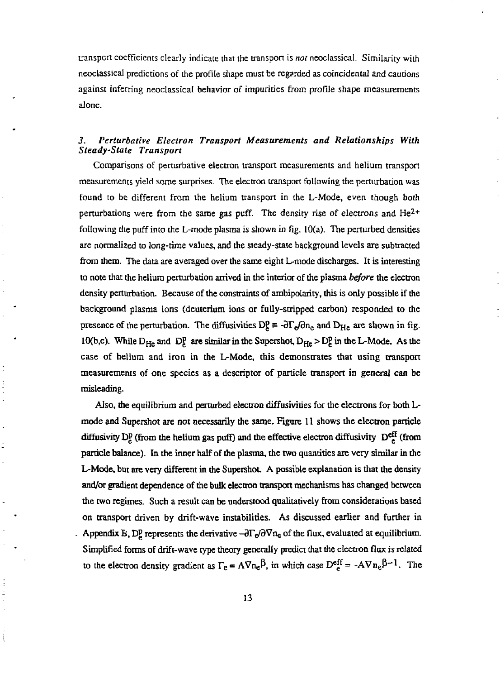iranspcrt coefficients clearly indicate that the transpon is *not* neoclassical. Similarity with neoclassical predictions of the profile shape must be regarded as coincidental and cautions against inferring neoclassical behavior of impurities from profile shape measurements alone.

## *3. Perturbative Electron Transport Measurements and Relationships With Steady-State Transport*

Comparisons of penurbative electron transport measurements and helium transport measurements yield some surprises. The electron transpon following the perturbation was found to be different from the helium transport in the L-Mode, even though both perturbations were from the same gas puff. The density rise of electrons and  $He^{2+}$ following die puff into the L-mode plasma is shown in fig. 10(a). The perturbed densities are normalized to long-time values, and the steady-state background levels are subtracted from them. The data are averaged over the same eight L-mode discharges. It is interesting to note that the helium perturbation arrived in the interior of the plasma *before* the electron density perturbation. Because of the constraints of ambipolariry, this is only possible if the background plasma ions (deuterium ions or fully-stripped carbon) responded to the presence of the perturbation. The diffusivities  $D_g^p \equiv -\frac{\partial \Gamma}{\partial \rho} \frac{\partial n}{\partial n}$  and  $D_{\rm He}$  are shown in fig. 10(b,c). While  $D_{He}$  and  $D_e^p$  are similar in the Supershot,  $D_{He} > D_e^p$  in the L-Mode. As the case of helium and iron in the L-Mode, this demonstrates that using transport measurements of one species as a descriptor of particle transport in general can be misleading.

Also, die equilibrium and perturbed electron diffusivities for the electrons for both Lmode and Supershot are not necessarily the same. Figure 11 shows the electron particle diffusivity DP (from the helium gas puff) and the effective electron diffusivity  $D_{\rho}^{eff}$  (from particle balance). In the inner half of the plasma, the two quantities are very similar in the L-Mode, but are very different in the Supershot. A possible explanation is that the density and/or gradient dependence of the bulk electron transport mechanisms has changed between the two regimes. Such a result can be understood qualitatively from considerations based on transport driven by drift-wave instabilities. As discussed earlier and further in Appendix B,  $D^p$  represents the derivative  $-\frac{\partial \Gamma}{\partial \theta} \nabla n_c$  of the flux, evaluated at equilibrium. Simplified forms of drift-wave type theory generally predict that the electron flux is related to the electron density gradient as  $\Gamma_e = A \nabla n_e B$ , in which case  $D_e^{\text{eff}} = -A \nabla n_e B^{-1}$ . The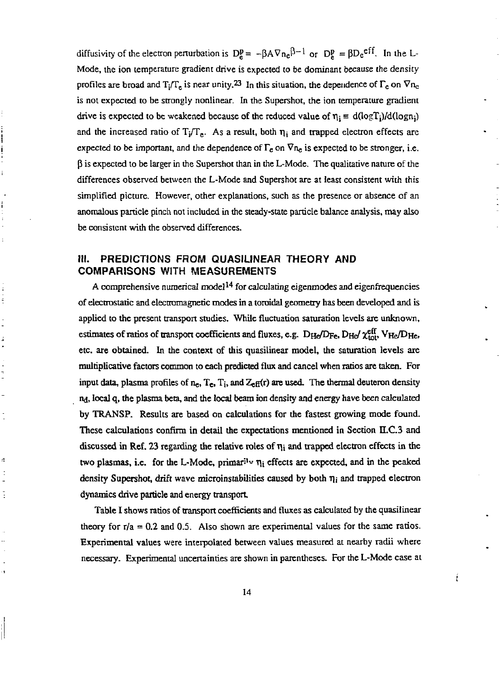diffusivity of the electron perturbation is  $D_{\rho}^{p} = -\beta A \nabla n_{c}P^{-1}$  or  $D_{\rho}^{p} = \beta D_{c}e^{i\pi}$ . In the L-Mode, the ion temperature gradient drive is expected to be dominant because the density profiles are broad and  $T_i/T_e$  is near unity.<sup>23</sup> In this situation, the dependence of  $\Gamma_e$  on  $\nabla n_e$ is not expected to be strongly nonlinear. In the Supershot, the ion temperature gradient drive is expected to be weakened because of the reduced value of  $\eta_i = d(\log T_i)/d(\log n_i)$ and the increased ratio of  $T_j/T_e$ . As a result, both  $\eta_j$  and trapped electron effects are expected to be important, and the dependence of  $\Gamma_e$  on  $\nabla n_e$  is expected to be stronger, i.e.  $\beta$  is expected to be larger in the Supershot than in the L-Mode. The qualitative nature of the differences observed between the L-Mode and Supershot are at least consistent with this simplified picture. However, other explanations, such as the presence or absence of an anomalous particle pinch not included in the steady-state particle balance analysis, may also be consistent with the observed differences.

## **III. PREDICTIONS FROM QUASILINEAR THEORY AND COMPARISONS WITH MEASUREMENTS**

 $\ddot{\cdot}$ ł

ś

ă

 $\frac{1}{2}$ 

A comprehensive numerical model<sup>14</sup> for calculating eigenmodes and eigenfrequencies of electrostatic and electromagnetic modes in a toroidal geometry has been developed and is applied to the present transport studies. While fluctuation saturation levels are unknown, estimates of ratios of transport coefficients and fluxes, e.g. D<sub>He</sub>/D<sub>Fe</sub>, D<sub>He</sub>/  $\chi^{eff}_{tot}$ , V<sub>He</sub>/D<sub>He</sub>, etc. are obtained. In the context of this quasilinear model, the saturation levels are multiplicative factors common to each predicted flux and cancel when ratios are taken. For input data, plasma profiles of  $n_e$ ,  $T_e$ ,  $T_i$ , and  $Z_{\text{eff}}(r)$  are used. The thermal deuteron density ry, local q, the plasma beta, and the local beam ion density and energy have been calculated by TRANSP. Results are based on calculations for the fastest growing mode found. These calculations confirm in detail the expectations mentioned in Section II.C.3 and discussed in Ref. 23 regarding the relative roles of *r\\* and trapped electron effects in the two plasmas, i.e. for the L-Mode, primar<sup>11</sup>  $\eta_i$  effects are expected, and in the peaked density Supershot, drift wave microinstabilities caused by both *r\-,* and trapped electron dynamics drive particle and energy transport

Table I shows ratios of transport coefficients and fluxes as calculated by the quasilinear theory for  $r/a = 0.2$  and 0.5. Also shown are experimental values for the same ratios. Experimental values were interpolated between values measured at nearby radii where necessary. Experimental uncertainties are shown in parentheses. For the L-Mode case at

İ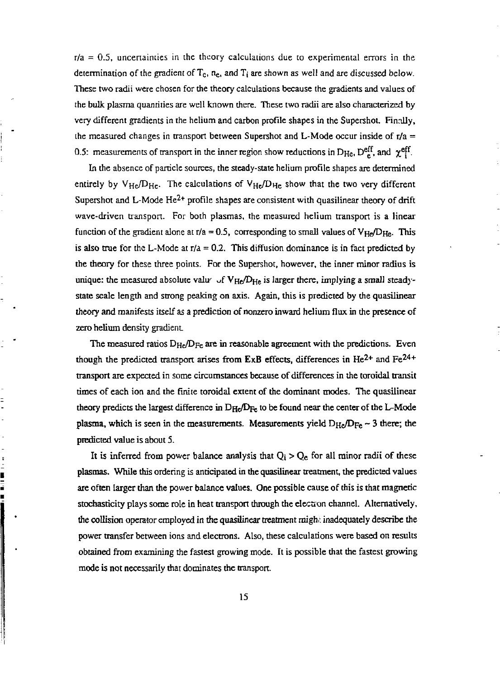$r/a = 0.5$ , uncertainties in the theory calculations due to experimental errors in the determination of the gradient of  $T_c$ ,  $n_c$ , and  $T_i$  are shown as well and are discussed below. These two radii were chosen for die theory calculations because the gradients and values of the bulk plasma quantities are well known there. These two radii are also characterized by very different gradients in the helium and carbon profile shapes in the Supershot. Finally, the measured changes in transport between Supershot and L-Mode occur inside of  $r/a =$ 0.5: measurements of transport in the inner region show reductions in  $D_{\text{He}}$ ,  $D_{\text{e}}^{\text{e}}$ , and  $\chi_{\text{e}}^{\text{e}\text{H}}$ .

In the absence of particle sources, the steady-state helium profile shapes are determined entirely by  $V_{He}/D_{He}$ . The calculations of  $V_{He}/D_{He}$  show that the two very different Supershot and L-Mode He<sup>2+</sup> profile shapes are consistent with quasilinear theory of drift wave-driven transport. For both plasmas, the measured helium transport is a linear function of the gradient alone at  $r/a = 0.5$ , corresponding to small values of  $V_{He}/D_{He}$ . This is also true for the L-Mode at  $r/a = 0.2$ . This diffusion dominance is in fact predicted by the theory for these three points. For the Supershot, however, the inner minor radius is unique: the measured absolute valu $\sim$  of V<sub>He</sub>/D<sub>He</sub> is larger there, implying a small steadystate scale length and strong peaking on axis. Again, this is predicted by the quasilinear theory and manifests itself as a prediction of nonzero inward helium flux in the presence of zero helium density gradient

The measured ratios  $D_{He}/D_{Fe}$  are in reasonable agreement with the predictions. Even though the predicted transport arises from  $ExB$  effects, differences in  $He^{2+}$  and  $Fe^{24+}$ transport are expected in some circumstances because of differences in the toroidal transit times of each ion and the finite toroidal extent of die dominant modes. The quasilinear theory predicts the largest difference in  $D_{He}/D_{Fe}$  to be found near the center of the L-Mode plasma, which is seen in the measurements. Measurements yield  $D_{He}/D_{Fe} \sim 3$  there; the predicted value is about 5.

 $\overline{a}$ 

※ ニョニョ ■ ■ ■

It is inferred from power balance analysis that  $Q_i > Q_e$  for all minor radii of these plasmas. While this ordering is anticipated in the quasilinear treatment, the predicted values are often larger than the power balance values. One possible cause of this is that magnetic stochasticity plays some role in heat transport through the election channel. Alternatively, the collision operator employed in the quasilinear treatment might inadequately describe the power transfer between ions and electrons. Also, these calculations were based on results obtained from examining the fastest growing mode. It is possible that the fastest growing mode is not necessarily that dominates the transport.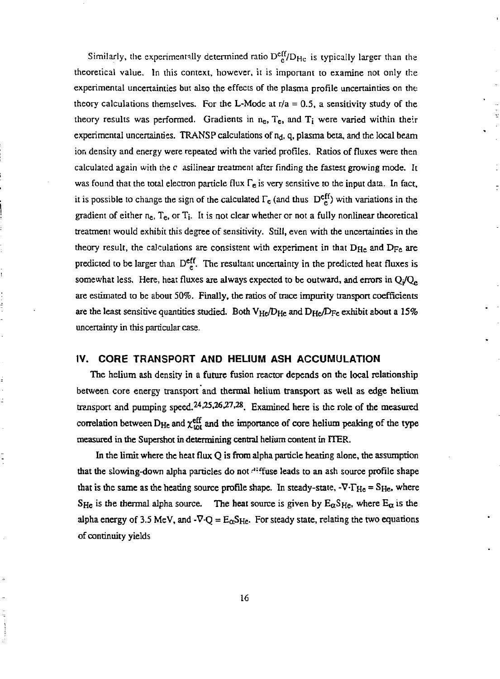Similarly, the experimentally determined ratio  $D_{c}^{eff}/D_{He}$  is typically larger than the theoretical value. In this context, however, it is important to examine not only the experimental uncertainties but also the effects of the plasma profile uncertainties on the theory calculations themselves. For the L-Mode at  $r/a = 0.5$ , a sensitivity study of the theory results was performed. Gradients in  $n_e$ ,  $T_e$ , and  $T_i$  were varied within their experimental uncertainties. TRANSP calculations of  $n_d$ , q, plasma beta, and the local beam ion density and energy were repeated with the varied profiles. Ratios of fluxes were then calculated again with the  $c$  asilinear treatment after finding the fastest growing mode. It was found that the total electron particle flux  $\Gamma_e$  is very sensitive to the input data. In fact, it is possible to change the sign of the calculated  $\Gamma_{\rm c}$  (and thus  $D_{\rm c}^{\rm eff}$ ) with variations in the gradient of either  $n_e$ ,  $T_e$ , or  $T_i$ . It is not clear whether or not a fully nonlinear theoretical treatment would exhibit this degree of sensitivity. Still, even with the uncertainties in the theory result, the calculations are consistent with experiment in that  $D_{He}$  and  $D_{Fe}$  are predicted to be larger than  $\mathrm{DefL}$ . The resultant uncertainty in the predicted heat fluxes is somewhat less. Here, heat fluxes are always expected to be outward, and errors in  $Q_i/Q_e$ are estimated to be about 50%. Finally, the ratios of trace impurity transport coefficients are the least sensitive quantities studied. Both  $V_{He}/D_{He}$  and  $D_{He}/D_{Fe}$  exhibit about a 15% uncertainty in this particular case.

#### **IV. CORE TRANSPORT AND HELIUM ASH ACCUMULATION**

 $\frac{1}{2}$ 

The helium ash density in a future fusion reactor depends on the local relationship between core energy transport and thermal helium transport as well as edge helium transport and pumping speed.<sup>24,25,26,27,28</sup>. Examined here is the role of the measured correlation between  $D_{\text{He}}$  and  $\chi^{\text{eff}}_{\text{tot}}$  and the importance of core helium peaking of the type measured in the Supershot in determining central helium content in rTER.

In the limit where the heat flux  $Q$  is from alpha particle heating alone, the assumption that the slowing-down alpha particles do not diffuse leads to an ash source profile shape that is the same as the heating source profile shape. In steady-state,  $-\nabla \cdot \Gamma_{\text{He}} = S_{\text{He}}$ , where SHe is the thermal alpha source. The heat source is given by  $E_{\alpha}S_{He}$ , where  $E_{\alpha}$  is the alpha energy of 3.5 MeV, and -V-Q =  $E_{\alpha}S_{He}$ . For steady state, relating the two equations of continuity yields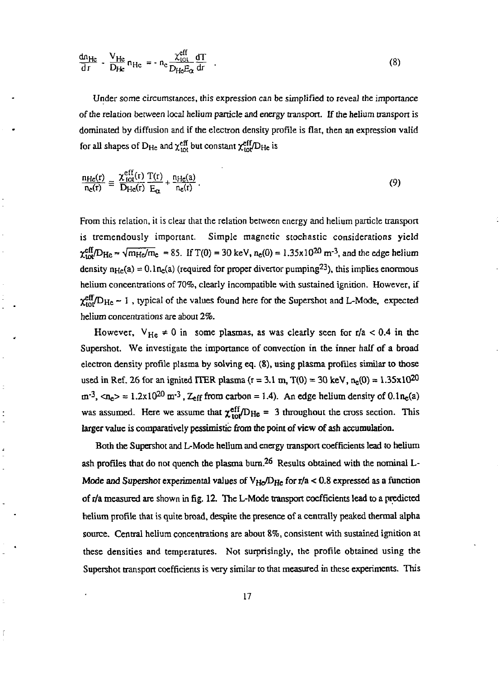$$
\frac{dn_{He}}{dr} - \frac{V_{He}}{D_{He}} n_{He} = -n_c \frac{\chi_{tot}^{eff}}{D_{He}E_{\alpha}} \frac{dT}{dr}
$$
 (8)

Under some circumstances, this expression can be simplified to reveal the importance of the relation between local helium particle and energy transport. If the helium transport is dominated by diffusion and if the electron density profile is flat, then an expression valid for all shapes of  $D_{He}$  and  $\chi_{tot}^{\text{eff}}$  but constant  $\chi_{tot}^{\text{eff}}/D_{He}$  is

$$
\frac{n_{\text{He}}(r)}{n_{\text{e}}(r)} \equiv \frac{\chi_{\text{tot}}^{\text{eff}}(r)}{D_{\text{He}}(r)} \frac{T(r)}{E_{\alpha}} + \frac{n_{\text{He}}(a)}{n_{\text{e}}(r)}.
$$
\n(9)

From this relation, it is clear that the relation between energy and helium particle transport is tremendously important. Simple magnetic stochastic considerations yield  $\chi_{\text{tot}}^{\text{clt}}/D_{\text{He}} \approx \sqrt{m_{\text{He}}/m_{\text{e}}}$  = 85. If T(0) = 30 keV, n<sub>e</sub>(0) = 1.35x10<sup>20</sup> m<sup>-3</sup>, and the edge helium density  $n_{\text{He}}(a) = 0.1 n_{\text{e}}(a)$  (required for proper divertor pumping<sup>23</sup>), this implies enormous helium concentrations of 70%, clearly incompatible with sustained ignition. However, if  $\chi_{\text{tot}}^{\text{eff}}/D_{\text{He}}$  - 1, typical of the values found here for the Supershot and L-Mode, expected helium concentrations are about *2%.* 

However,  $V_{He} \neq 0$  in some plasmas, as was clearly seen for r/a < 0.4 in the Supershot. We investigate the importance of convection in the inner half of a broad electron density profile plasma by solving eq. (8), using plasma profiles similar to those used in Ref. 26 for an ignited ITER plasma ( $r = 3.1$  m,  $T(0) = 30$  keV,  $n_e(0) = 1.35 \times 10^{20}$  $m^{-3}$ ,  $\langle n_e \rangle \approx 1.2 \times 10^{20}$  m<sup>-3</sup>,  $Z_{eff}$  from carbon = 1.4). An edge helium density of 0.1 $n_e$ (a) was assumed. Here we assume that  $\chi_{\text{tot}}^{\text{eff}}/D_{\text{He}} = 3$  throughout the cross section. This larger value is comparatively pessimistic from the point of view of ash accumulation.

Both the Supershot and L-Mode helium and energy transport coefficients lead to helium ash profiles that do not quench the plasma burn. <sup>26</sup> Results obtained with the nominal  $L$ -Mode and Supershot experimental values of  $V_{He}/D_{He}$  for r/a < 0.8 expressed as a function of r/a measured are shown in fig. 12. The L-Mode transport coefficients lead to a predicted helium profile that is quite broad, despite the presence of a centrally peaked thermal alpha source. Central helium concentrations are about 8%, consistent with sustained ignition at these densities and temperatures. Not surprisingly, the profile obtained using the Supershot transport coefficients is very similar to that measured in these experiments. This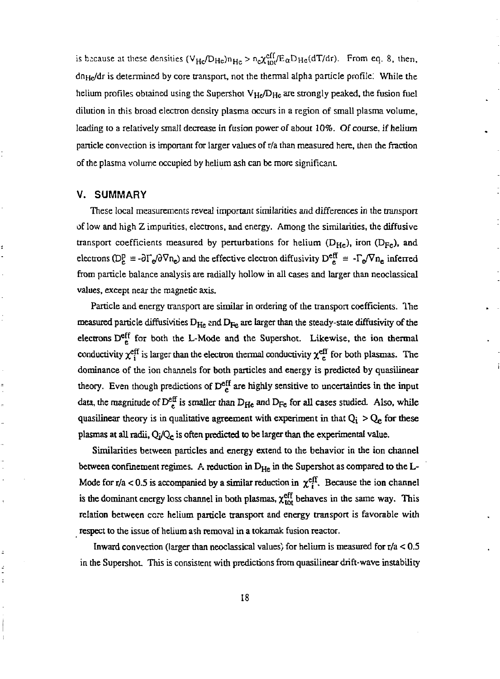is because at these densities  $(V_{Hc}/D_{Hc})n_{Hc} > n_c \chi_{10l}^{01} / E_{\alpha} D_{Hc}(dT/dr)$ . From eq. 8, then, dn<sub>He</sub>/dr is determined by core transport, not the thermal alpha particle profile. While the helium profiles obtained using the Supershot  $V_{He}/D_{He}$  are strongly peaked, the fusion fuel dilution in this broad electron density plasma occurs in a region of small plasma volume, leading to a relatively small decrease in fusion power of about 10%. Of course, if helium panicle convection is important for larger values of r/a than measured here, then the fraction of die plasma volume occupied by helium ash can be more significant.

#### V. SUMMARY

These local measurements reveal important similarities and differences in the transport of low and high Z impurities, electrons, and energy. Among the similarities, the diffusive transport coefficients measured by perturbations for helium  $(D_{He})$ , iron  $(D_{Fe})$ , and electrons (D<sub>E</sub> =  $-\partial\Gamma_c/\partial\nabla n_c$ ) and the effective electron diffusivity D<sup>en</sup>e =  $-\Gamma_c/\nabla n_c$  inferred from particle balance analysis are radially hollow in all cases and larger than neoclassical values, except near the magnetic axis.

Particle and energy transport are similar in ordering of the transport coefficients. The measured particle diffusivities  $D_{\rm He}$  and  $D_{\rm Fe}$  are larger than the steady-state diffusivity of the electrons  $D_{\mu}^{\text{eff}}$  for both the L-Mode and the Supershot. Likewise, the ion thermal conductivity  $\chi_i^{\text{eff}}$  is larger than the electron thermal conductivity  $\chi_c^{\text{eff}}$  for both plasmas. The dominance of the ion channels for both particles and energy is predicted by quasilinear theory. Even though predictions of  $D <sup>eff</sup>$  are highly sensitive to uncertainties in the input data, the magnitude of  $D^{\text{eq}}_{\epsilon}$  is smaller than  $D_{\text{He}}$  and  $D_{\text{Fe}}$  for all cases studied. Also, while quasilinear theory is in qualitative agreement with experiment in that  $Q_i > Q_e$  for these plasmas at all radii,  $Q_i/Q_e$  is often predicted to be larger than the experimental value.

Similarities between particles and energy extend to die behavior in the ion channel between confinement regimes. A reduction in  $D_{He}$  in the Supershot as compared to the L-Mode for r/a < 0.5 is accompanied by a similar reduction in  $\chi^{\text{eff}}$ . Because the ion channel is the dominant energy loss channel in both plasmas,  $\chi_{\text{tot}}^{\text{eff}}$  behaves in the same way. This relation between core helium particle transport and energy transport is favorable with respect to the issue of helium ash removal in a tokamak fusion reactor.

Inward convection (larger than neoclassical values) for helium is measured for  $r/a < 0.5$ in the Supershot. This is consistent with predictions from quasilinear drift-wave instability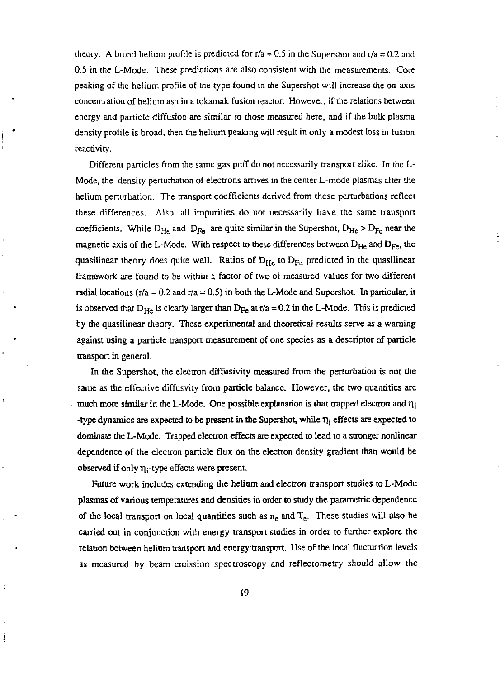theory. A broad helium profile is predicted for  $r/a = 0.5$  in the Supershot and  $r/a = 0.2$  and 0.5 in the L-Mode. These predictions are also consistent with the measurements. Core peaking of the helium profile of the type found in the Supershot will increase the on-axis concentration of helium ash in a tokamak fusion reactor. However, if the relations between energy and particle diffusion are similar to diose measured here, and if the bulk plasma density profile is broad, then the helium peaking will result in only a modest loss in fusion reactivity.

Different particles from the same gas puff do not necessarily transport alike. In the L-Mode, the density perturbation of electrons arrives in the center L-mode plasmas after the helium perturbation. The transport coefficients derived from these perturbations reflect these differences. Also, all impurities do not necessarily have the same transport coefficients. While  $D_{He}$  and  $D_{Fe}$  are quite similar in the Supershot,  $D_{He} > D_{Fe}$  near the magnetic axis of the L-Mode. With respect to these differences between  $D_{He}$  and  $D_{Fe}$ , the quasilinear theory does quite well. Ratios of  $D_{H_0}$  to  $D_{F_0}$  predicted in the quasilinear framework are found to be within a factor of two of measured values for two different radial locations ( $r/a = 0.2$  and  $r/a = 0.5$ ) in both the L-Mode and Supershot. In particular, it is observed that  $D_{\text{tr}}$  is clearly larger than  $D_{\text{tr}}$  at r/a = 0.2 in the L-Mode. This is predicted by die quasilinear theory. These experimental and theoretical results serve as a warning against using a particle transport measurement of one species as a descriptor of particle transport in general.

In the Supershot, the electron diffusivity measured from the perturbation is not die same as the effective diffusvity from particle balance. However, the two quantities are much more similar in the L-Mode. One possible explanation is that trapped electron and  $\eta_i$ -type dynamics are expected to be present in the Supershot, while *r\* j effects are expected to dominate the L-Mode. Trapped election effects are expected to lead to a stronger nonlinear dependence of the electron particle flux on the electron density gradient than would be observed if only  $\eta_i$ -type effects were present.

 $\ddot{\phantom{a}}$ 

ċ

Future work includes extending the helium and electron transport studies to L-Mode plasmas of various temperatures and densities in order to study the parametric dependence of the local transport on local quantities such as  $n_e$  and  $T_e$ . These studies will also be carried out in conjunction with energy transport studies in order to further explore the relation between helium transport and energy-transport. Use of the local fluctuation levels as measured by beam emission spectroscopy and reflectometry should allow the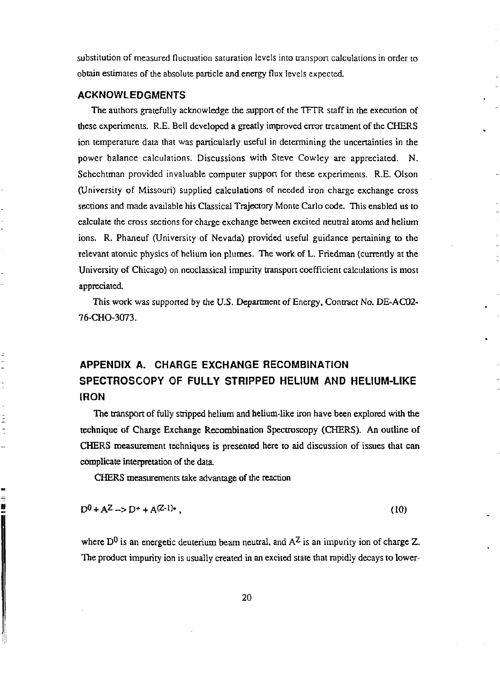substitution of measured fluctuation saturation levels into transpon calculations in order to obtain estimates of the absolute particle and energy flux levels expected.

## **ACKNOWLEDGMENTS**

The authors gratefully acknowledge the support of the TFTR staff in the execution of these experiments. R.E. Bell developed a greatly improved error treatment of the CHERS ion temperature data that was particularly useful in determining the uncertainties in the power balance calculations. Discussions with Steve Cowley are appreciated. N. Schechtman provided invaluable computer support for these experiments. R.E. Olson (University of Missouri) supplied calculations of needed iron charge exchange cross sections and made available his Classical Trajectory Monte Carlo code. This enabled us to calculate the cross sections for charge exchange between excited neutral atoms and helium ions. R. Phaneuf (University of Nevada) provided useful guidance pertaining to the relevant atomic physics of helium ion plumes. The work of L. Friedman (currently at the University of Chicago) on neoclassical impurity transport coefficient calculations is most appreciated.

This work was supported by the *U.S.* Department of Energy, Contract No. DE-AC02- 76-CHO-3073.

# **APPENDIX A. CHARGE EXCHANGE RECOMBINATION SPECTROSCOPY OF FULLY STRIPPED HELIUM AND HELIUM-LIKE IRON**

The transport of fully stripped helium and helium-like iron have been explored with the technique of Charge Exchange Recombination Spectroscopy (CHERS). An outline of CHERS measurement techniques is presented here to aid discussion of issues that can complicate interpretation of the data.

CHERS measurements take advantage of the reaction

$$
D^0 + A^Z \to D^+ + A^{(Z-1)*}, \tag{10}
$$

where  $D^0$  is an energetic deuterium beam neutral, and  $A^Z$  is an impurity ion of charge Z. The product impurity ion is usually created in an excited state that rapidly decays to lower-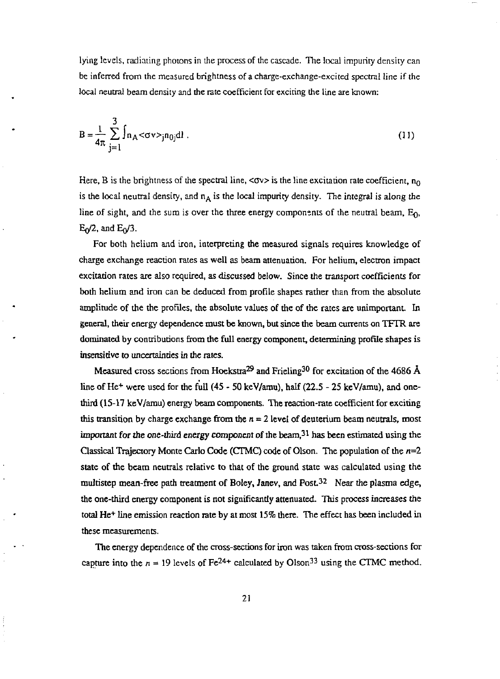lying levels, radiating photons in the process of the cascade. The local impurity density can be inferred from the measured brightness of a charge-exchange-excited spectral line if the local neutral beam density and the rate coefficient for exciting the line are known:

$$
B = \frac{1}{4\pi} \sum_{j=1}^{3} \int n_A <\sigma v >_{j} n_{0j} dl
$$
 (11)

Here, B is the brightness of the spectral line, < $\sigma v$  is the line excitation rate coefficient,  $n_0$ is the local neutral density, and  $n_A$  is the local impurity density. The integral is along the line of sight, and the sum is over the three energy components of the neutral beam,  $E_0$ ,  $E_0/2$ , and  $E_0/3$ .

For both helium and iron, interpreting the measured signals requires knowledge of charge exchange reaction rates as well as beam attenuation. For helium, electron impact excitation rates are also required, as discussed below. Since the transport coefficients for both helium and iron can be deduced from profile shapes rather than from the absolute amplitude of the the profiles, die absolute values of the of the rates are unimportant. In general, their energy dependence must be known, but since the beam currents on TFTR are dominated by contributions from die full energy component, determining profile shapes is insensitive to uncertainties in the rates.

Measured cross sections from Hoekstra $^{29}$  and Frieling  $^{30}$  for excitation of the 4686 Å line of He<sup>+</sup> were used for the full (45 - 50 keV/amu), half (22.5 - 25 keV/amu), and onethird (15-17 keV/amu) energy beam components. The reaction-rate coefficient for exciting this transition by charge exchange from the  $n = 2$  level of deuterium beam neutrals, most important for the one-third energy component of the beam,  $3<sup>1</sup>$  has been estimated using the Classical Trajectory Monte Carlo Code (CTMC) code of Olson. The population of the  $n=2$ state of the beam neutrals relative to that of the ground state was calculated using the multistep mean-free path treatment of Boley, Janey, and Post  $32$  Near the plasma edge, the one-third energy component is not significandy attenuated. This process increases the total He<sup>+</sup> line emission reaction rate by at most 15% there. The effect has been included in these measurements.

The energy dependence of the cross-sections for iron was taken from cross-sections for capture into the  $n = 19$  levels of  $Fe<sup>24+</sup>$  calculated by Olson<sup>33</sup> using the CTMC method.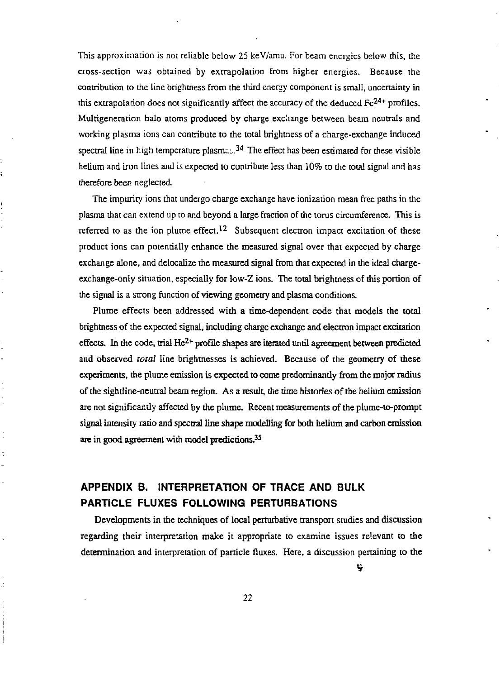This approximation is not reliable below 25 keV/amu. For beam energies below this, the cross-section was obtained by extrapolation from higher energies. Because the contribution to the line brightness from the third energy component is small, uncertainty in this extrapolation does not significantly affect the accuracy of the deduced  $Fe<sup>24+</sup>$  profiles. Multigeneration halo atoms produced by charge exchange between beam neutrals and working plasma ions can contribute to the total brightness of a charge-exchange induced spectral line in high temperature plasm $\epsilon_{\text{L}}^{34}$ . The effect has been estimated for these visible helium and iron lines and is expected to contribute less than 10% to the total signal and has therefore been neglected.

The impurity ions that undergo charge exchange have ionization mean free paths in the plasma that can extend up to and beyond a large fraction of the torus circumference. This is referred to as the ion plume effect.<sup>12</sup> Subsequent electron impact excitation of these product ions can potentially enhance the measured signal over that expected by charge exchange alone, and delocalize the measured signal from that expected in the ideal chargeexchange-only situation, especially for low-Z ions. The total brightness of this portion of the signal is a strong function of viewing geometry and plasma conditions.

Plume effects been addressed with a time-dependent code that models the total brightness of the expected signal, including charge exchange and electron impact excitation effects. In the code, trial He<sup>2+</sup> profile shapes are iterated until agreement between predicted and observed *total* line brightnesses is achieved. Because of the geometry of these experiments, the plume emission is expected to come predominantly from the major radius of the sightline-neutral beam region. As a result, the time histories of the helium emission are not significantly affected by the plume. Recent measurements of the plume-to-prompt signal intensity ratio and spectral line shape modelling for both helium and carbon emission are in good agreement with model predictions.<sup>35</sup>

# **APPENDIX B. INTERPRETATION OF TRACE AND BULK PARTICLE FLUXES FOLLOWING PERTURBATIONS**

ś

Developments in the techniques of local perturbative transport studies and discussion regarding their interpretation make it appropriate to examine issues relevant to die determination and interpretation of particle fluxes. Here, a discussion pertaining to the

ę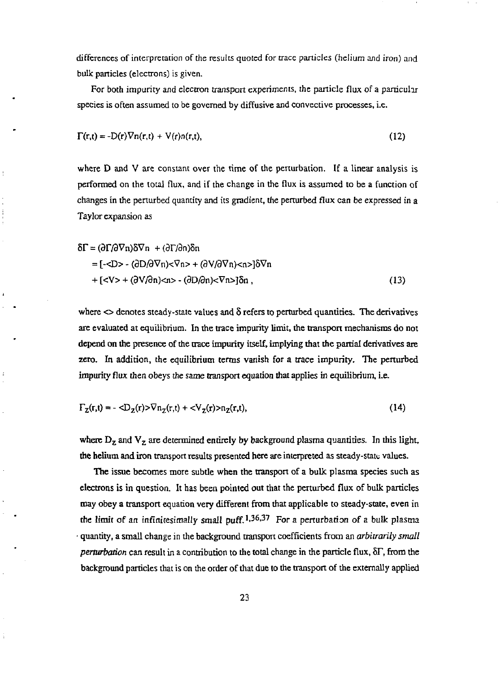differences of interpretation of the results quoted for trace panicles (helium and iron) and bulk particles (electrons) is given.

For both impurity and electron transport experiments, the particle flux of a particular species is often assumed to be governed by diffusive and convective processes, i.e.

$$
\Gamma(r,t) = -D(r)\nabla n(r,t) + V(r)n(r,t),
$$
\n(12)

where D and V are constant over the time of the perturbation. If a linear analysis is performed on the total flux, and if the change in the flux is assumed to be a function of changes in the perturbed quantity and its gradient, the perturbed flux can be expressed in a Taylor expansion as

$$
\delta\Gamma = (\partial\Gamma/\partial\nabla n)\delta\nabla n + (\partial\Gamma/\partial n)\delta n
$$
  
= [- - (\partial D/\partial\nabla n)<\nabla n > + (\partial V/\partial\nabla n)<\nabla n > 3\delta\nabla n  
+ [- + (\partial V/\partial n)<\nabla n > - (\partial D/\partial n)<\nabla n > 3\delta n, (13)

where  $\leq$  denotes steady-state values and  $\delta$  refers to perturbed quantities. The derivatives are evaluated at equilibrium. In the trace impurity limit, the transport mechanisms do not depend on the presence of the trace impurity itself, implying that the partial derivatives are zero. In addition, the equilibrium terms vanish for a trace impurity. The perturbed impurity flux then obeys the same transport equation that applies in equilibrium, i.e.

$$
\Gamma_{Z}(r,t) = -\langle D_{Z}(r) \rangle \nabla n_{Z}(r,t) + \langle V_{Z}(r) \rangle n_{Z}(r,t), \qquad (14)
$$

where  $D_z$  and  $V_z$  are determined entirely by background plasma quantities. In this light, the helium and iron transport results presented here are interpreted as steady-state values.

The issue becomes more subtle when the transport of a bulk plasma species such as electrons is in question. It has been pointed out that the perturbed flux of bulk particles may obey a transport equation very different from that applicable to steady-state, even in the limit of an infinitesimally small puff.  $1,36,37$  For a perturbation of a bulk plasma • quantity, a small change in the background transport coefficients from an *arbitrarily small perturbation* can result in a contribution to the total change in the particle flux, 8r, from the background particles that is on the order of that due to the transport of the externally applied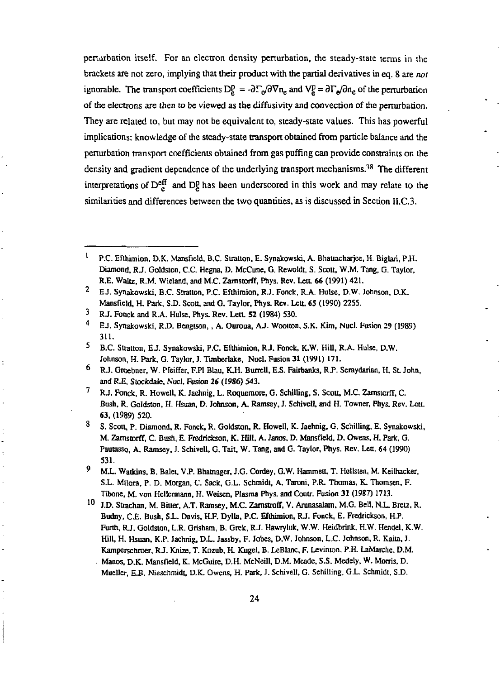perturbation itself. For an electron density perturbation, the steady-state terms in the brackets are not zero, implying that their product with the partial derivatives in eq. 8 are *not*  ignorable. The transport coefficients  $D_g^D = -\partial \Gamma_g / \partial \nabla n_e$  and  $V_g^D = \partial \Gamma_g / \partial n_e$  of the perturbation of the electrons are then to be viewed as the diffusivity and convection of the perturbation. They are related to, but may not be equivalent to, steady-state values. This has powerful implications: knowledge of the steady-state transport obtained from particle balance and the perturbation transport coefficients obtained from gas puffing can provide constraints on the density and gradient dependence of the underlying transport mechanisms.<sup>38</sup> The different interpretations of  $D_{a}^{\text{eff}}$  and  $D_{b}^{\text{p}}$  has been underscored in this work and may relate to the similarities and differences between the two quantities, as is discussed in Section II.C.3.

t

ċ

<sup>1</sup> P.C. Efthimion, D.K. Mansfield, B.C. Slralton, E. Synakowski, A. Bhattacharjee, H. Biglari, P.H. Diamond, R J. Goldston, C.C. Hegna, D. McCune, G. Rewoldt, S. Scott, W.M. Tang, G. Taylor, R.E. Waltz, R.M. Wieland, and M.C. Zamstorff, Phys. Rev. Lett 66 (1991) 421.

<sup>&</sup>lt;sup>2</sup> E.J. Synakowski, B.C. Stratton, P.C. Efthimion, R.J. Fonck, R.A. Hulse, D.W. Johnson, D.K. Mansfield, H. Park, S.D. Scott, and G. Taylor, Phys. Rev. Lett. 65 (1990) 2255.

<sup>3</sup> RJ. Fonck and R.A. Hulse, Phys. Rev. Lett. 52 (1984) 530.

<sup>4</sup> EJ. Synakowski, R.D. Bengtson,, A. Ouroua, AJ. Woouon, S.K. Kim, Nucl. Fusion 29 (1989) 311.

<sup>5</sup> B.C. Stratum, EJ. Synakowski, P.C. Efthimion, RJ. Fonck, K.W. Hill, R.A. Hulse, D.W. Johnson, H. Park, G. Taylor, J. Timberlake, Nucl. Fusion 31 (1991) 171.

<sup>6</sup> <sup>3</sup> R.J. Groebner, W. Pfeiffer, F.Pl Blau, K.H. Burrell, E.S. Fairbanks, R.P. Seraydarian, H. St. John, and R.E. Stockdale, Nucl. Fusion 26 (1986) 543.

<sup>7</sup> RJ. Fonck, R. Howell, K. Jaehnig. L. Roquemore, G. Schilling, S. Scott, M.C, Zamstorff, C. Bush, R. Goldston, H. Hsuan, D. Johnson, A. Ramsey, J. SchiveU, and H. Towner, Phys. Rev. Lett. 63, (1989) 520.

<sup>8</sup> S. Scott, P. Diamond, R. Fonck, R. Goldston, R. Howell, K. Jaehnig, G. Schilling, E. Synakowski, M. Zamstorff, C. Bush, E. Fredrickson, K. Hill, A. Janos, D. Mansfield, D. Owens. H. Park, G. Pautasso, A. Ramsey, J. Schivell, G. Tait, W. Tang, and G. Taylor, Phys. Rev. Lett. 64 (1990) 531.

<sup>9</sup> M.L. Watlrins, B. Balet, VP. Bhatnager, J.G. Cordey, G.W. Hammett, T. Hellsten, M. Keilhacker, S.L. Milora, P. D. Morgan, C. Sack, G.L. Schmidt, A. Taroni, P.R. Thomas, K. Thomsen, F. Tibone, M. von Hellermann, H. Weisen, Plasma Phys. and Contr. Fusion 31 (1987) 1713.

<sup>&</sup>lt;sup>10</sup> J.D. Strachan, M. Bitter, A.T. Ramsey, M.C. Zamstroff, V. Arunasalam, M.G. Bell, N.L. Bretz, R. Budny, C.E. Bush, S.L. Davis, H.F. Dylla, P.C. Efthimion, R.J. Fonck, E. Fredrickson, H.P. Furth, RJ. Goldston, L.R. Grisham, B. Grek, RJ. Hawryluk, W.W. Heidbrink. H.W. Hendel. K.W. Hill, H. Hsuan, K.P. Jaehnig, D.L. Jassby, F. Jobes, D.W. Johnson, L.C. Johnson, R. Kaita, J. Kampersehroer, RJ. Knize, T. Kozub, H. Kugel, B. LeBIanc, F. Levimon, P.H. LaMarche, D.M. . Manos, D.K. Mansfield, K. McGuire, D.H. McNeill, D.M. Meade, S.S. Medely, W. Morris, D. Mueller, E.B. Nieschmidt, D.K. Owens, H. Park, J. Schivell, G. Schilling, G.L. Schmidt, S.D.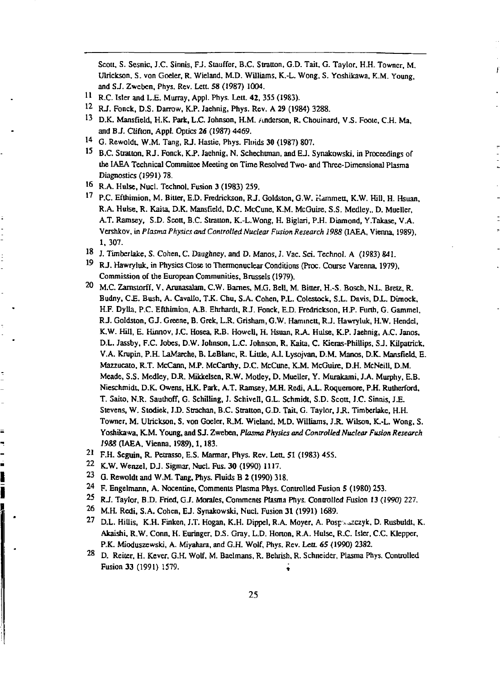**Scott, S. Sesnic, J.C. Sinnis, FJ. Siauffer, B.C. Stratton, G.D. Tail, G. Taylor, H.H. Towner, M. Ulrickson, S. von Goeler, R. Wieland. M.D. Williams, K.-L. Wong. S. Yashikawa, K.M. Young, and SJ. Zweben, Phys. Rev. Lett. 58 (1987) 1004.** 

ſ

- **1 ' R.C. Isler and L£ . Murray, Appl. Phys. Lett, 42, 355 (19S3).**
- **1 2 RJ. Fonck, D.S. Darrow, K.P. Jaehnig, Phys. Rev. A 29 (1984) 3288.**
- **1 3 D.K. Mansfield, H.K. Park, L.C. Johnson, KM. Anderson. R. Chouinard. V.S. Foote, C.H. Ma, and B J. Clifton, Appl. Optics 26 (1987) 4469.**
- **1 4 G. Rewoldt, W.M. Tang, RJ. Hasue, Phys. Fluids 30 (1987) 807.**
- <sup>15</sup> B.C. Stratton, R.J. Fonck, K.P. Jaehnig, N. Schechtman, and E.J. Synakowski, in Proceedings of **the IAEA Technical Committee Meeting on Time Resolved Two- and Three-Dimensional Plasma Diagnostics (1991) 78.**
- **1 6 R.A. Hulse, Nucl. Tcchnol. Fusion 3 (1983) 259.**
- **1 7 P.C. Efthimion, M. Bitter, E.D. Fredrickson, R J. Goldston, G.W. Hammett, K.W. Hill. H. Hsuan, R.A. Hulse. R. Kaita, D.K. Mansfield, D.C. McCune. K.M. McGuire. S.S. Medley,, D. Mueller, A.T. Ramsey, S.D. Scott, B.C. Stratton, K.-L.Wong, H. Biglari, P.H. Diamond, Y.Takase, V.A. Vershkov, in** *Plasma Physics and Controlled Nuclear Fusion Research 1988* **(IAEA, Vienna, 1989), 1, 307.**
- **!8 J. Timberlake, S. Cohen, C. Daughney, and D. Manos, J. Vac. Sci. Technol. A (1983) 841.**
- <sup>19</sup> RJ. Hawryluk. in Physics Close to Thermonuclear Conditions (Proc. Course Varenna. 1979), **Commission of the European Communities, Brussels (1979).**
- **2 0 M.C. Zamstorff. V, Arunasalam, C.W. Barnes, M.G. Bell. M. Bitter, H.-S. Bosch, NJ.. Bretz, R.**  Budny, C.E. Bush, A. Cavallo, T.K. Chu, S.A. Cohen, P.L. Colestock, S.L. Davis, D.L. Dimock, **H.F. Dylla. P.C. Efthimion, A.B. Ehrhardt, RJ. Fonck, E.D. Fredrickson. H J . Furth, G. Gammel. RJ. Goldston, GJ. Greene, B. Grek, L.R. Grisham, G.W. Hammeit, RJ. Hawryluk, H.W. Hendel, K.W. Hill, E. Hinnov, J.C. Hosea, R.B, Howell, H. Hsuan, R.A. Hulse, K.P. Jaehnig, A.C. Janos, D.L. Jassby, F.C. Jobes, D.W. Johnson. L.C. Johnson. R. Kaila, C. Kieras-Phillips, SJ. Kilpatrick. V.A. Krupin, P.R LaMarche, B. LeBlanc, R. Little, A.I. Lysojvan, D.M. Manos, D.K. Mansfield, E. Mazzucato, R.T. McCann, M.P. McCarthy, D.C. McCune, K.M. McGuire, DJH. McNeill. D.M. Meade, S.S. Medley,** *DSL.* **Mikkelsen, R.W. Modey, D. Mueller, Y. Murakami, J.A. Murphy. E.B. Nieschmidt, D.K. Owens, H.K. Park, A.T. Ramsey, M.H. Redi, A.L. Roquemore, PJL Rutherford,**  T. Saito, N.R. Sauthoff, G. Schilling, J. Schivell, G.L. Schmidt, S.D. Scott, J.C. Sinnis, J.E. **Stevens, W. Stodiek,** *ID.* **Strachan, B.C. Stratton, G.D. Tail, G. Taylor,** *JR.* **Timberlake, H.H.**  Towner, M. Ulrickson, S. von Goeler, R.M. Wieland, M.D. Williams, J.R. Wilson, K.-L. Wong, S. **Yoshikawa, K.M. Young, and S J. Zweben,** *Plasma Physics and Controlled Nuclear Fusion Research 1988* **(IAEA. Vienna, 1989). 1,183.**
- **2 1 F.H. Seguin. R. Peaasso, E.S. Marmar, Phys. Rev. Leu. 51 (1983) 455.**
- **2 2 K.W. Wenzel, DJ. Sigmar, Nucl. Fus. 30 (1990) 1117.**

ľ I

- **2 3 G. Rewoldt and W.M. Tang, Phys. Fluids B 2 (1990) 318.**
- **2 4 F. Engelmann, A. Nocentine, Comments Plasma Phys. Controlled Fusion 5 (1980) 253.**
- **2 5 RJ. Taylor, B.D. Fried, GJ. Morales, Comments Plasma Phys. Controlled Fusion 13 (1990) 227.**
- **2 6 M.H. Redi, S.A. Cohen, EJ. Synakowski, Nucl. Fusion 31 (1991) 1689.**
- **2 7 D.L. HiUis, K.H. Finken, J.T. Hogan, K.H. Dippel, R.A. Moyer, A. Posp ^zczyk, D. Rusbuldt, K. Akaishi, R.W. Conn, H. Euringer, D.S. Gray, L.D. Horton, R.A. Hulse. R.C. Isler, C.C. Kleppcr,**  P.K. Mioduszewski, A. Miyahara, and G.H. Wolf, Phys. Rev. Lett. 65 (1990) 2382.
- **2 8 D. Reiter. H. Kever, G.H. Wolf, M. Baelmans, R. Behrish, R. Schneider, Plasma Phys. Controlled**  Fusion 33 (1991) 1579.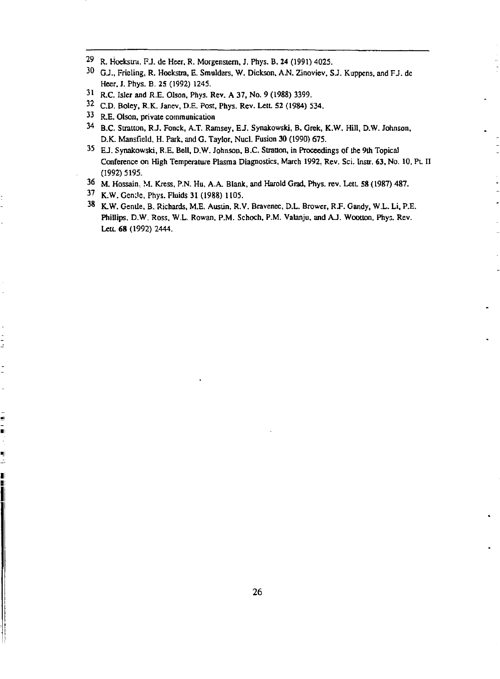- $^{29}$  R. Hoekstra, F.J. de Heer, R. Morgenstern, J. Phys. B. 24 (1991) 4025.
- <sup>30</sup> G.J., Frieling, R. Hoekstra, E. Smulders, W. Dickson, A.N. Zinoviev, S.J. Kuppens, and F.J. dc Heer, J. Phys. B. 25 (1992) 1245.
- 3 1 R.C. Isler and R.E. Olson. Phys. Rev. A 37, No. 9 (1988) 3399.
- <sup>52</sup> C.D. Boley, R.K. Janev, D.E. Post, Phys. Rev. Lett. 52 (1984) 534.
- 3 3 R.E. Olson, private communication
- <sup>34</sup> B.C. Stratton, R.J. Fonck, A.T. Ramsey, E.J. Synakowski, B. Grek, K.W. Hill, D.W. Johnson, D.K. Mansfield, H. Park, and G. Taylor, Nucl. Fusion 30 (1990) 675.
- <sup>33</sup> EJ. Synakowski, R.E. Bell, D.W. Johnson, B.C. Stratton, in Proceedings of the 9th Topical Conference on High Temperature Plasma Diagnostics, March 1992. Rev. Sci. Instr. 63, No. 10, PL II (1992) 5195.
- <sup>36</sup> M. Hossain, M. Kress, P.N. Hu, A.A. Blank, and Harold Grad, Phys. rev. Lett. 58 (1987) 487.
- <sup>3/</sup> K.W. GenJe, Phys. Fluids 31 (1988) 1105.

 $\frac{1}{2}$ 

ś Ē,

ų Ľ, I İ <sup>38</sup> K.W. Gentle, B. Richards, M.E. Austin, R.V. Bravenec, D.L. Brower, R.F. Gandy, W.L. Li, P.E. Phillips, D.W. Ross, W.L. Rowan, P.M. Schoch, P.M. Valanju, and AJ. Wootlon, Phys. Rev. Leu. 68 (1992) 2444.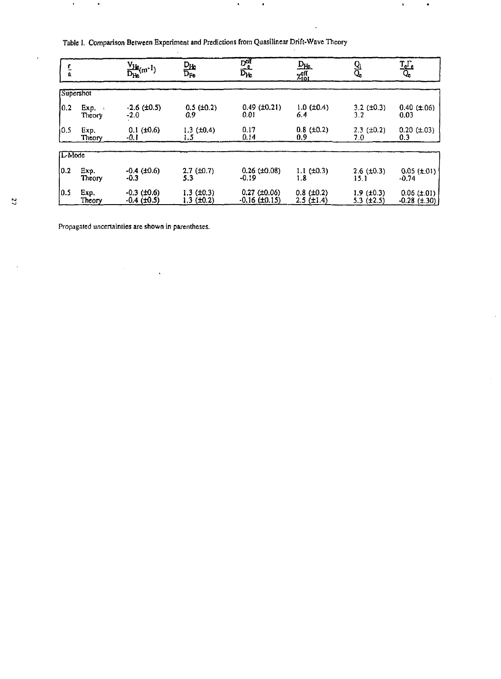|  | Table I. Comparison Between Experiment and Predictions from Quasilinear Drift-Wave Theory |  |  |  |  |
|--|-------------------------------------------------------------------------------------------|--|--|--|--|
|--|-------------------------------------------------------------------------------------------|--|--|--|--|

 $\mathcal{L}$ 

| $\frac{r}{a}$ |           | $\frac{V_{He}}{D_{He}}$ (m <sup>-1</sup> ) | $\frac{D_{Hc}}{D_{Fe}}$ | $\frac{D_{\text{eff}}^{\text{eff}}}{D_{\text{He}}}$ | $\frac{D_{He}}{\chi_{tot}^{eff}}$ | $\frac{Q_i}{Q_c}$   | $\frac{T_c \Gamma_c}{Q_c}$ |
|---------------|-----------|--------------------------------------------|-------------------------|-----------------------------------------------------|-----------------------------------|---------------------|----------------------------|
|               | Supershot |                                            |                         |                                                     |                                   |                     |                            |
| 0.2           | Exp.      | $-2.6$ ( $\pm 0.5$ )                       | $0.5$ ( $\pm 0.2$ )     | $0.49$ ( $\pm 0.21$ )                               | $1.0$ ( $\pm 0.4$ )               | $3.2 \ (\pm 0.3)$   | $0.40$ ( $\pm .06$ )       |
|               | Theory    | $-2.0$                                     | 0.9                     | 0.01                                                | 6.4                               | 3.2                 | 0.03                       |
| l0.5          | Exp.      | $0.1$ ( $\pm 0.6$ )                        | $1.3$ ( $\pm 0.4$ )     | 0,17                                                | $0.8$ ( $\pm 0.2$ )               | $2.3$ ( $\pm 0.2$ ) | $0.20 (\pm .03)$           |
|               | Theory    | -0. I                                      | 1.5                     | 0.14                                                | 0.9                               | 7.0                 | 0.3                        |
| L-Mode        |           |                                            |                         |                                                     |                                   |                     |                            |
| 10.2          | Exp.      | $-0.4$ ( $\pm 0.6$ )                       | $2.7$ ( $\pm 0.7$ )     | $0.26$ ( $\pm 0.08$ )                               | $1.1$ ( $\pm 0.3$ )               | $2.6$ ( $\pm 0.3$ ) | $0.05$ ( $\pm .01$ )       |
|               | Theory    | $-0.3$                                     | 5.3                     | $-0.19$                                             | 1.8                               | 15.1                | $-0.74$                    |
| 10.5          | Exp.      | $-0.3$ ( $\pm 0.6$ )                       | $1.3$ ( $\pm 0.3$ )     | $0.27$ (±0.06)                                      | $0.8$ ( $\pm 0.2$ )               | $1.9$ ( $\pm 0.3$ ) | $0.06 (\pm .01)$           |
|               | Theory    | $-0.4$ ( $\pm 0.5$ )                       | 1.3 (±0.2)              | $-0.16$ ( $\pm 0.15$ )                              | $2.5$ ( $\pm 1.4$ )               | $5.3$ ( $\pm 2.5$ ) | $-0.28$ (±.30)             |

 $\bullet$ 

 $\bullet$ 

 $\ddot{\phantom{a}}$ 

 $\bullet$ 

 $\ddot{\phantom{0}}$ 

 $\hat{\boldsymbol{\beta}}$ 

Propagated uncertainties are shown in parentheses.

 $\ddot{\phantom{a}}$ 

 $\bullet$ 

 $\bullet$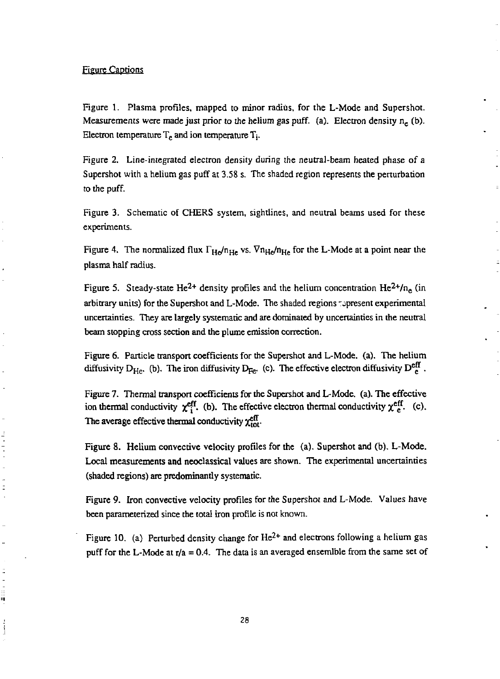#### Figure Captions

ċ

ä

Figure 1. Plasma profiles, mapped to minor radius, for the L-Mode and Supershot. Measurements were made just prior to the helium gas puff. (a). Electron density n<sub>e</sub> (b). Electron temperature  $T_e$  and ion temperature  $T_i$ .

Figure 2. Line-integrated electron density during the neutral-beam heated phase of a Supershot with a helium gas puff at 3.58 s. The shaded region represents the perturbation to the puff.

Figure 3. Schematic of CHERS system, sightlines, and neutral beams used for these experiments.

Figure 4. The normalized flux  $\Gamma_{\text{He}}/n_{\text{He}}$  vs.  $\nabla n_{\text{He}}/n_{\text{He}}$  for the L-Mode at a point near the plasma half radius.

Figure 5. Steady-state He<sup>2+</sup> density profiles and the helium concentration He<sup>2+</sup>/n<sub>e</sub> (in arbitrary units) for the Supershot and L-Mode. The shaded regions represent experimental uncertainties. They are largely systematic and are dominated by uncertainties in the neutral beam stopping cross section and the plume emission correction.

Figure 6. Particle transport coefficients for the Supershot and L-Mode. (a). The helium diffusivity  $D_{He}$ . (b). The iron diffusivity  $D_{He}$ . (c). The effective electron diffusivity  $D_{He}^{eH}$ .

Figure 7. Thermal transport coefficients for the Supershot and L-Mode. (a). The effective ion thermal conductivity  $\chi^{\text{cft}}_{i}$ . (b). The effective electron thermal conductivity  $\chi^{\text{cft}}_{e}$ . (c). The average effective thermal conductivity  $\chi_{\rm tot}^{\rm eff}$ .

Figure 8. Helium convcctive velocity profiles for the (a). Supershot and (b). L-Mode. Local measurements and neoclassical values are shown. The experimental uncertainties (shaded regions) are predominantly systematic.

Figure 9. Iron convective velocity profiles for the Supershot and L-Mode. Values have been parameterized since the total iron profile is not known.

Figure 10. (a) Perturbed density change for  $He^{2+}$  and electrons following a helium gas puff for the L-Mode at  $r/a = 0.4$ . The data is an averaged ensemible from the same set of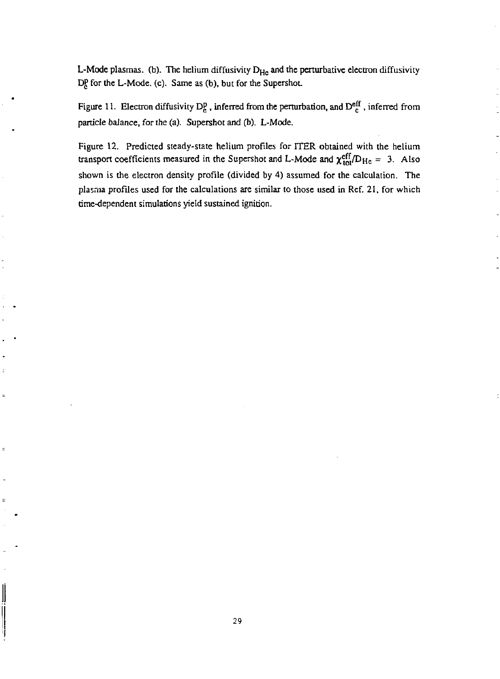L-Mode plasmas. (b). The helium diffusivity D<sub>He</sub> and the perturbative electron diffusivity D<sub>c</sub><sup>p</sup> for the L-Mode. (c). Same as (b), but for the Supershot.

Figure 11. Electron diffusivity D<sub>R</sub>, inferred from the perturbation, and  $D_{\mu}^{\text{eff}}$ , inferred from particle balance, for the (a). Supershot and (b). L-Mode.

Figure 12. Predicted steady-state helium profiles for ITER obtained with the helium transport coefficients measured in the Supershot and L-Mode and  $\chi_{\text{tot}}^{\text{eff}}/D_{\text{He}} = 3$ . Also shown is the electron density profile (divided by 4) assumed for the calculation. The plasma profiles used for the calculations are similar to those used in Ref. 21, for which time-dependent simulations yield sustained ignition.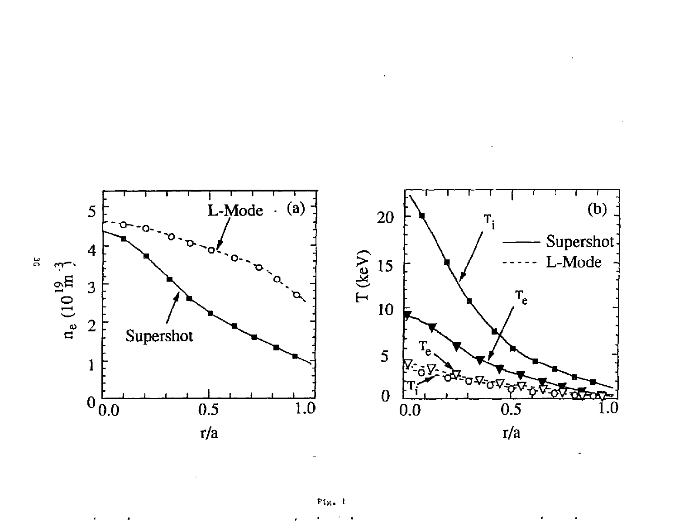

 $\ddot{\phantom{0}}$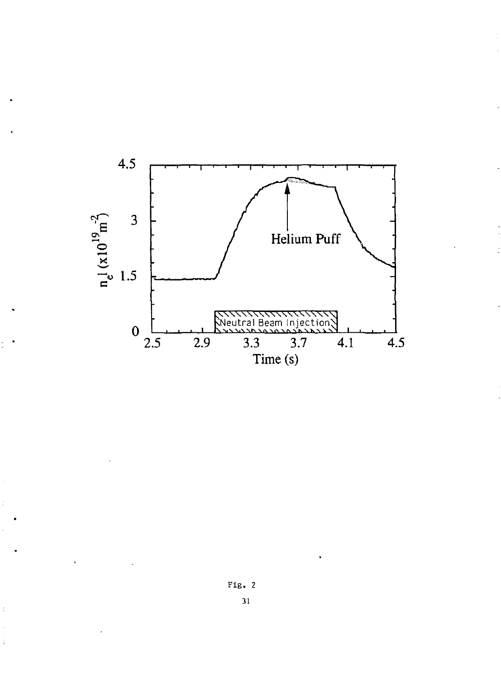

 $Fig. 2$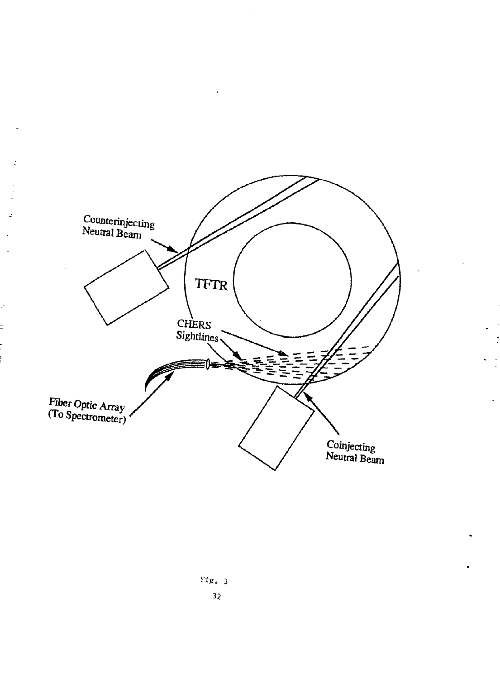

ż

ć

 $\overline{a}$ 

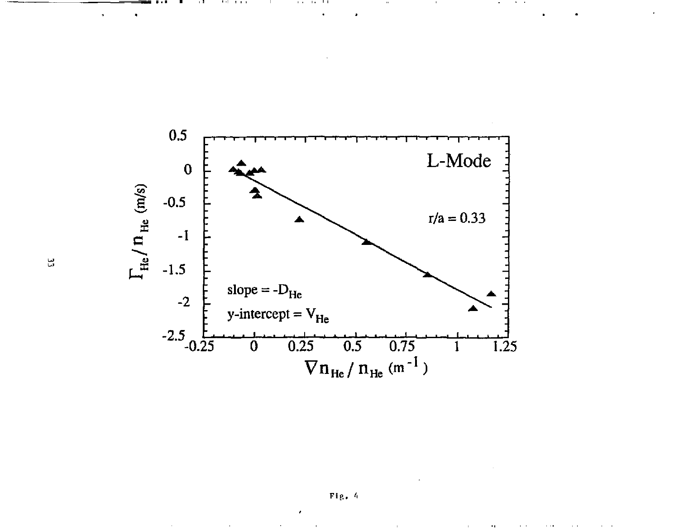

**A.M. 14** 

 $\mathbf{r}$ - 12

 $\ddot{\phantom{0}}$ 

. . . . . .

Fig . 4

 $\alpha$ 

 $\sim$  10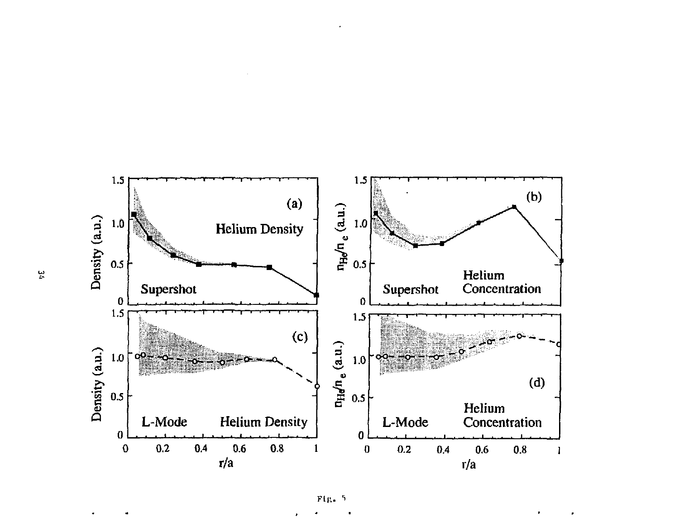

 $Fig. 5$ 

 $\ddot{r}$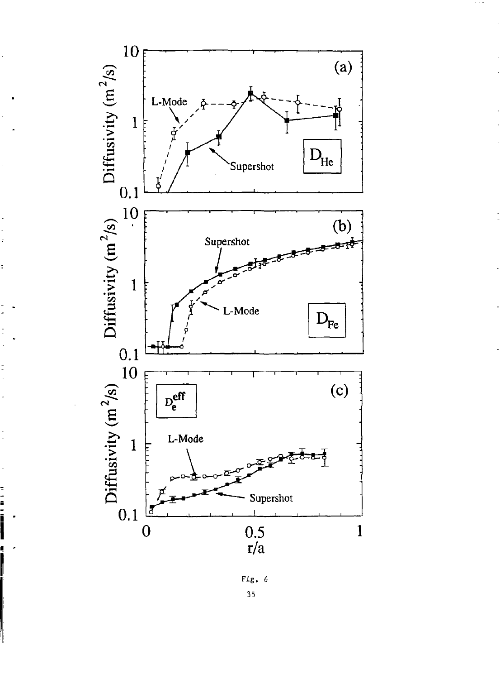

三 一 二 二

 $Fig. 6$  $35$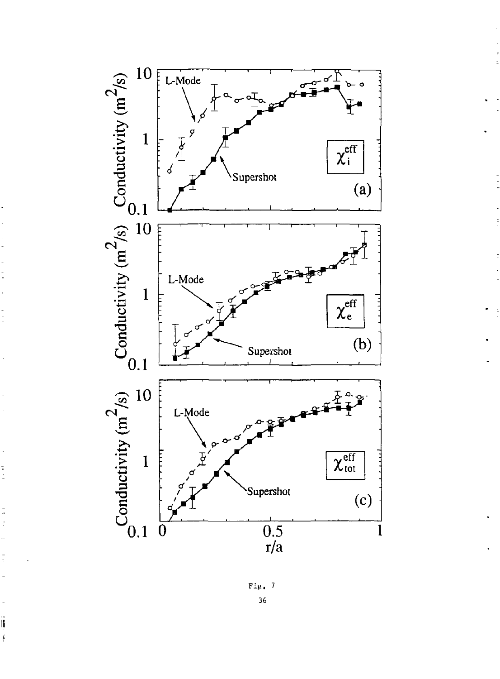

 $\frac{1}{2}$ 



Ïij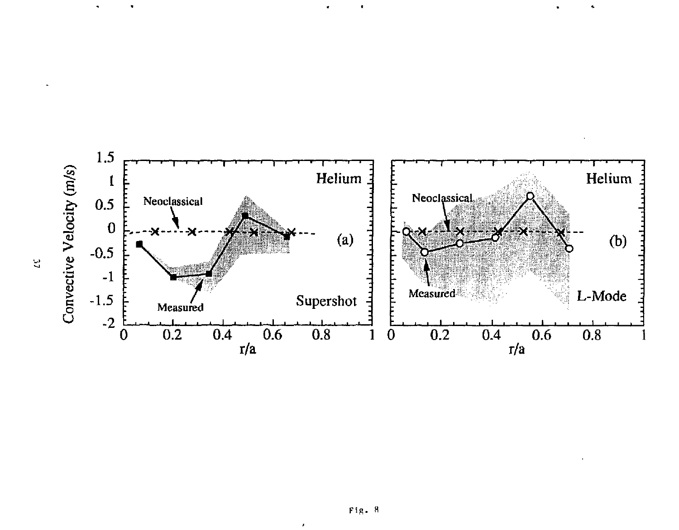

 $\hat{\textbf{t}}$ 

4

 $\hat{\textbf{v}}$ 

 $\tilde{\phantom{a}}$ 

 $\epsilon$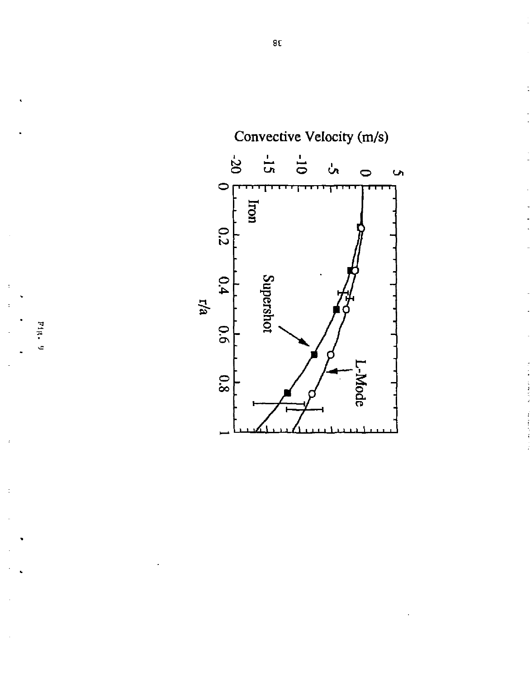

 $111.40$ 

ċ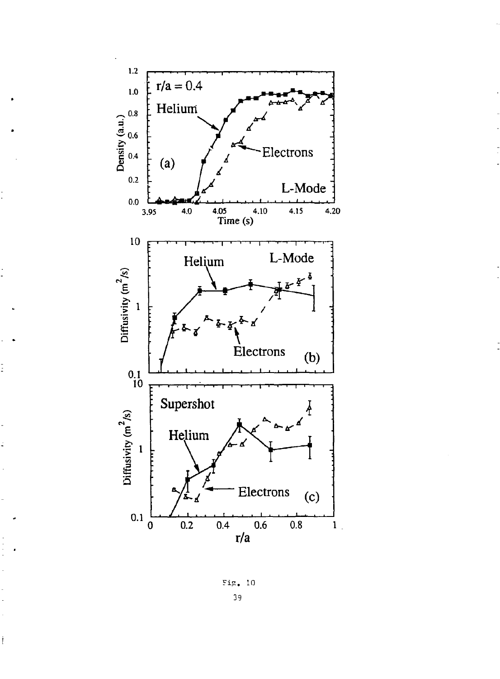

İ

İ

FiS. 10 39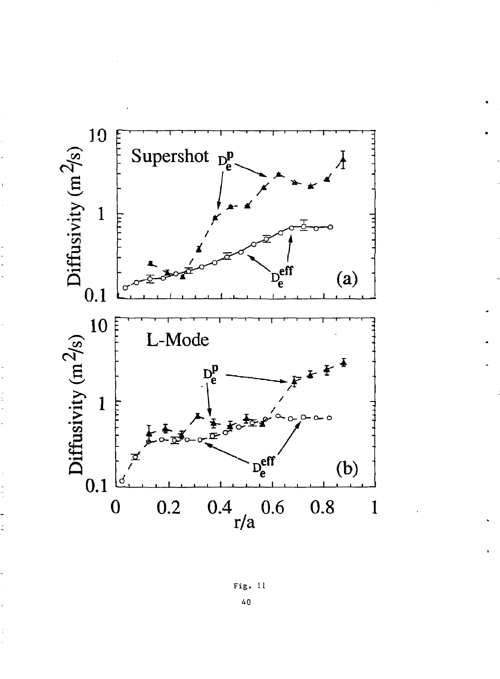

Fig. 11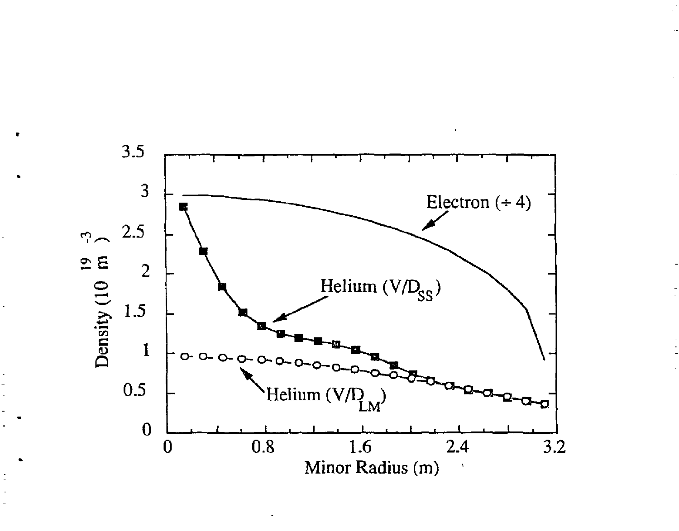